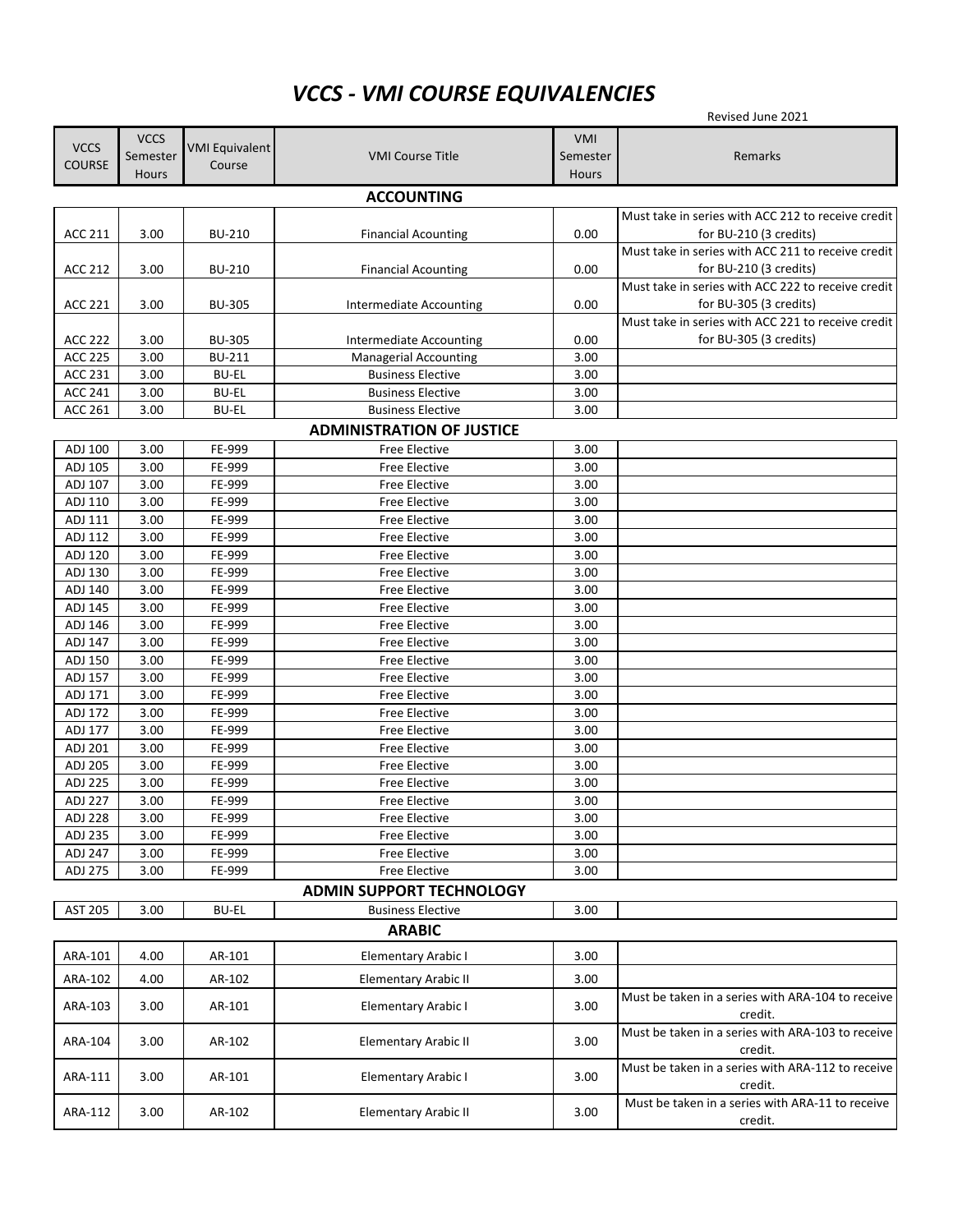## *VCCS - VMI COURSE EQUIVALENCIES*

| Revised June 2021  |                   |                       |                                              |              |                                                              |  |  |  |  |  |
|--------------------|-------------------|-----------------------|----------------------------------------------|--------------|--------------------------------------------------------------|--|--|--|--|--|
| <b>VCCS</b>        | <b>VCCS</b>       | <b>VMI Equivalent</b> |                                              | VMI          |                                                              |  |  |  |  |  |
| <b>COURSE</b>      | Semester          | Course                | <b>VMI Course Title</b>                      | Semester     | Remarks                                                      |  |  |  |  |  |
|                    | <b>Hours</b>      |                       |                                              | <b>Hours</b> |                                                              |  |  |  |  |  |
|                    | <b>ACCOUNTING</b> |                       |                                              |              |                                                              |  |  |  |  |  |
|                    |                   |                       |                                              |              | Must take in series with ACC 212 to receive credit           |  |  |  |  |  |
| <b>ACC 211</b>     | 3.00              | <b>BU-210</b>         | <b>Financial Acounting</b>                   | 0.00         | for BU-210 (3 credits)                                       |  |  |  |  |  |
|                    |                   |                       |                                              |              | Must take in series with ACC 211 to receive credit           |  |  |  |  |  |
| ACC 212            | 3.00              | <b>BU-210</b>         | <b>Financial Acounting</b>                   | 0.00         | for BU-210 (3 credits)                                       |  |  |  |  |  |
|                    |                   |                       |                                              |              | Must take in series with ACC 222 to receive credit           |  |  |  |  |  |
| ACC 221            | 3.00              | <b>BU-305</b>         | Intermediate Accounting                      | 0.00         | for BU-305 (3 credits)                                       |  |  |  |  |  |
|                    |                   |                       |                                              |              | Must take in series with ACC 221 to receive credit           |  |  |  |  |  |
| <b>ACC 222</b>     | 3.00              | <b>BU-305</b>         | Intermediate Accounting                      | 0.00         | for BU-305 (3 credits)                                       |  |  |  |  |  |
| <b>ACC 225</b>     | 3.00              | <b>BU-211</b>         | <b>Managerial Accounting</b>                 | 3.00         |                                                              |  |  |  |  |  |
| <b>ACC 231</b>     | 3.00              | <b>BU-EL</b>          | <b>Business Elective</b>                     | 3.00         |                                                              |  |  |  |  |  |
| <b>ACC 241</b>     | 3.00              | <b>BU-EL</b>          | <b>Business Elective</b>                     | 3.00         |                                                              |  |  |  |  |  |
| <b>ACC 261</b>     | 3.00              | <b>BU-EL</b>          | <b>Business Elective</b>                     | 3.00         |                                                              |  |  |  |  |  |
|                    |                   |                       | <b>ADMINISTRATION OF JUSTICE</b>             |              |                                                              |  |  |  |  |  |
| ADJ 100            | 3.00              | FE-999                | <b>Free Elective</b>                         | 3.00         |                                                              |  |  |  |  |  |
| ADJ 105            | 3.00              | FE-999                | <b>Free Elective</b>                         | 3.00         |                                                              |  |  |  |  |  |
| ADJ 107            | 3.00              | FE-999                | <b>Free Elective</b>                         | 3.00         |                                                              |  |  |  |  |  |
| ADJ 110            | 3.00              | FE-999                | <b>Free Elective</b>                         | 3.00         |                                                              |  |  |  |  |  |
| ADJ 111            | 3.00              | FE-999                | <b>Free Elective</b>                         | 3.00         |                                                              |  |  |  |  |  |
| ADJ 112            | 3.00              | FE-999                | <b>Free Elective</b>                         | 3.00         |                                                              |  |  |  |  |  |
| ADJ 120            | 3.00              | FE-999                | <b>Free Elective</b>                         | 3.00         |                                                              |  |  |  |  |  |
| ADJ 130            | 3.00              | FE-999                | <b>Free Elective</b>                         | 3.00         |                                                              |  |  |  |  |  |
| ADJ 140<br>ADJ 145 | 3.00<br>3.00      | FE-999<br>FE-999      | <b>Free Elective</b>                         | 3.00<br>3.00 |                                                              |  |  |  |  |  |
| ADJ 146            | 3.00              | FE-999                | <b>Free Elective</b><br><b>Free Elective</b> | 3.00         |                                                              |  |  |  |  |  |
| ADJ 147            | 3.00              | FE-999                | <b>Free Elective</b>                         | 3.00         |                                                              |  |  |  |  |  |
| ADJ 150            | 3.00              | FE-999                | <b>Free Elective</b>                         | 3.00         |                                                              |  |  |  |  |  |
| ADJ 157            | 3.00              | FE-999                | <b>Free Elective</b>                         | 3.00         |                                                              |  |  |  |  |  |
| ADJ 171            | 3.00              | FE-999                | <b>Free Elective</b>                         | 3.00         |                                                              |  |  |  |  |  |
| ADJ 172            | 3.00              | FE-999                | <b>Free Elective</b>                         | 3.00         |                                                              |  |  |  |  |  |
| ADJ 177            | 3.00              | FE-999                | Free Elective                                | 3.00         |                                                              |  |  |  |  |  |
| ADJ 201            | 3.00              | FE-999                | <b>Free Elective</b>                         | 3.00         |                                                              |  |  |  |  |  |
| ADJ 205            | 3.00              | FE-999                | Free Elective                                | 3.00         |                                                              |  |  |  |  |  |
| <b>ADJ 225</b>     | 3.00              | FE-999                | Free Elective                                | 3.00         |                                                              |  |  |  |  |  |
| ADJ 227            | 3.00              | FE-999                | Free Elective                                | 3.00         |                                                              |  |  |  |  |  |
| <b>ADJ 228</b>     | 3.00              | FE-999                | Free Elective                                | 3.00         |                                                              |  |  |  |  |  |
| ADJ 235            | 3.00              | FE-999                | Free Elective                                | 3.00         |                                                              |  |  |  |  |  |
| ADJ 247            | 3.00              | FE-999                | <b>Free Elective</b>                         | 3.00         |                                                              |  |  |  |  |  |
| ADJ 275            | 3.00              | FE-999                | <b>Free Elective</b>                         | 3.00         |                                                              |  |  |  |  |  |
|                    |                   |                       | <b>ADMIN SUPPORT TECHNOLOGY</b>              |              |                                                              |  |  |  |  |  |
| AST 205            | 3.00              | <b>BU-EL</b>          | <b>Business Elective</b>                     | 3.00         |                                                              |  |  |  |  |  |
|                    |                   |                       | <b>ARABIC</b>                                |              |                                                              |  |  |  |  |  |
| ARA-101            | 4.00              | AR-101                | <b>Elementary Arabic I</b>                   | 3.00         |                                                              |  |  |  |  |  |
| ARA-102            | 4.00              | AR-102                | <b>Elementary Arabic II</b>                  | 3.00         |                                                              |  |  |  |  |  |
| ARA-103            | 3.00              | AR-101                | <b>Elementary Arabic I</b>                   | 3.00         | Must be taken in a series with ARA-104 to receive            |  |  |  |  |  |
|                    |                   |                       |                                              |              | credit.<br>Must be taken in a series with ARA-103 to receive |  |  |  |  |  |
| ARA-104            | 3.00              | AR-102                | Elementary Arabic II                         | 3.00         | credit.                                                      |  |  |  |  |  |
| ARA-111            | 3.00              | AR-101                | <b>Elementary Arabic I</b>                   | 3.00         | Must be taken in a series with ARA-112 to receive<br>credit. |  |  |  |  |  |
| ARA-112            | 3.00              | AR-102                | <b>Elementary Arabic II</b>                  | 3.00         | Must be taken in a series with ARA-11 to receive<br>credit.  |  |  |  |  |  |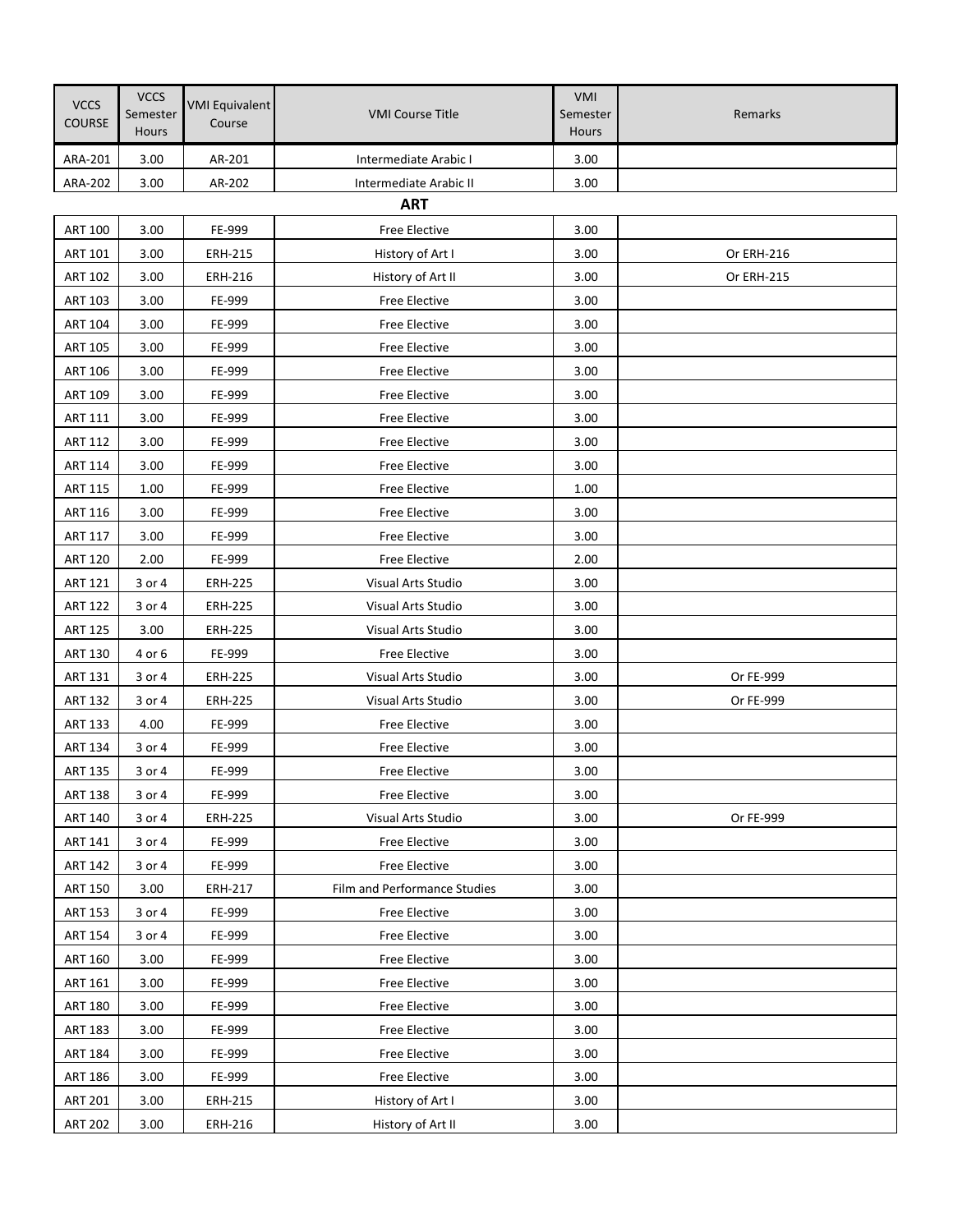| <b>VCCS</b><br>COURSE | <b>VCCS</b><br>Semester<br>Hours | <b>VMI Equivalent</b><br>Course | <b>VMI Course Title</b>      | <b>VMI</b><br>Semester<br>Hours | Remarks    |
|-----------------------|----------------------------------|---------------------------------|------------------------------|---------------------------------|------------|
| ARA-201               | 3.00                             | AR-201                          | Intermediate Arabic I        | 3.00                            |            |
| ARA-202               | 3.00                             | AR-202                          | Intermediate Arabic II       | 3.00                            |            |
|                       |                                  |                                 | <b>ART</b>                   |                                 |            |
| <b>ART 100</b>        | 3.00                             | FE-999                          | Free Elective                | 3.00                            |            |
| <b>ART 101</b>        | 3.00                             | <b>ERH-215</b>                  | History of Art I             | 3.00                            | Or ERH-216 |
| <b>ART 102</b>        | 3.00                             | ERH-216                         | History of Art II            | 3.00                            | Or ERH-215 |
| ART 103               | 3.00                             | FE-999                          | <b>Free Elective</b>         | 3.00                            |            |
| <b>ART 104</b>        | 3.00                             | FE-999                          | <b>Free Elective</b>         | 3.00                            |            |
| <b>ART 105</b>        | 3.00                             | FE-999                          | Free Elective                | 3.00                            |            |
| ART 106               | 3.00                             | FE-999                          | Free Elective                | 3.00                            |            |
| ART 109               | 3.00                             | FE-999                          | <b>Free Elective</b>         | 3.00                            |            |
| ART 111               | 3.00                             | FE-999                          | <b>Free Elective</b>         | 3.00                            |            |
| <b>ART 112</b>        | 3.00                             | FE-999                          | Free Elective                | 3.00                            |            |
| ART 114               | 3.00                             | FE-999                          | Free Elective                | 3.00                            |            |
| <b>ART 115</b>        | 1.00                             | FE-999                          | Free Elective                | 1.00                            |            |
| <b>ART 116</b>        | 3.00                             | FE-999                          | Free Elective                | 3.00                            |            |
| ART 117               | 3.00                             | FE-999                          | Free Elective                | 3.00                            |            |
| <b>ART 120</b>        | 2.00                             | FE-999                          | Free Elective                | 2.00                            |            |
| <b>ART 121</b>        | 3 or 4                           | <b>ERH-225</b>                  | Visual Arts Studio           | 3.00                            |            |
| <b>ART 122</b>        | 3 or 4                           | <b>ERH-225</b>                  | Visual Arts Studio           | 3.00                            |            |
| <b>ART 125</b>        | 3.00                             | ERH-225                         | Visual Arts Studio           | 3.00                            |            |
| ART 130               | 4 or 6                           | FE-999                          | <b>Free Elective</b>         | 3.00                            |            |
| ART 131               | 3 or 4                           | <b>ERH-225</b>                  | Visual Arts Studio           | 3.00                            | Or FE-999  |
| <b>ART 132</b>        | 3 or 4                           | <b>ERH-225</b>                  | Visual Arts Studio           | 3.00                            | Or FE-999  |
| <b>ART 133</b>        | 4.00                             | FE-999                          | Free Elective                | 3.00                            |            |
| ART 134               | 3 or 4                           | FE-999                          | Free Elective                | 3.00                            |            |
| <b>ART 135</b>        | 3 or 4                           | FE-999                          | Free Elective                | 3.00                            |            |
| <b>ART 138</b>        | 3 or 4                           | FE-999                          | <b>Free Elective</b>         | 3.00                            |            |
| <b>ART 140</b>        | 3 or 4                           | <b>ERH-225</b>                  | Visual Arts Studio           | 3.00                            | Or FE-999  |
| ART 141               | 3 or 4                           | FE-999                          | <b>Free Elective</b>         | 3.00                            |            |
| <b>ART 142</b>        | 3 or 4                           | FE-999                          | Free Elective                | 3.00                            |            |
| <b>ART 150</b>        | 3.00                             | <b>ERH-217</b>                  | Film and Performance Studies | 3.00                            |            |
| <b>ART 153</b>        | 3 or 4                           | FE-999                          | <b>Free Elective</b>         | 3.00                            |            |
| <b>ART 154</b>        | 3 or 4                           | FE-999                          | Free Elective                | 3.00                            |            |
| <b>ART 160</b>        | 3.00                             | FE-999                          | Free Elective                | 3.00                            |            |
| ART 161               | 3.00                             | FE-999                          | Free Elective                | 3.00                            |            |
| <b>ART 180</b>        | 3.00                             | FE-999                          | Free Elective                | 3.00                            |            |
| <b>ART 183</b>        | 3.00                             | FE-999                          | Free Elective                | 3.00                            |            |
| <b>ART 184</b>        | 3.00                             | FE-999                          | Free Elective                | 3.00                            |            |
| <b>ART 186</b>        | 3.00                             | FE-999                          | Free Elective                | 3.00                            |            |
| <b>ART 201</b>        | 3.00                             | ERH-215                         | History of Art I             | 3.00                            |            |
| <b>ART 202</b>        | 3.00                             | ERH-216                         | History of Art II            | 3.00                            |            |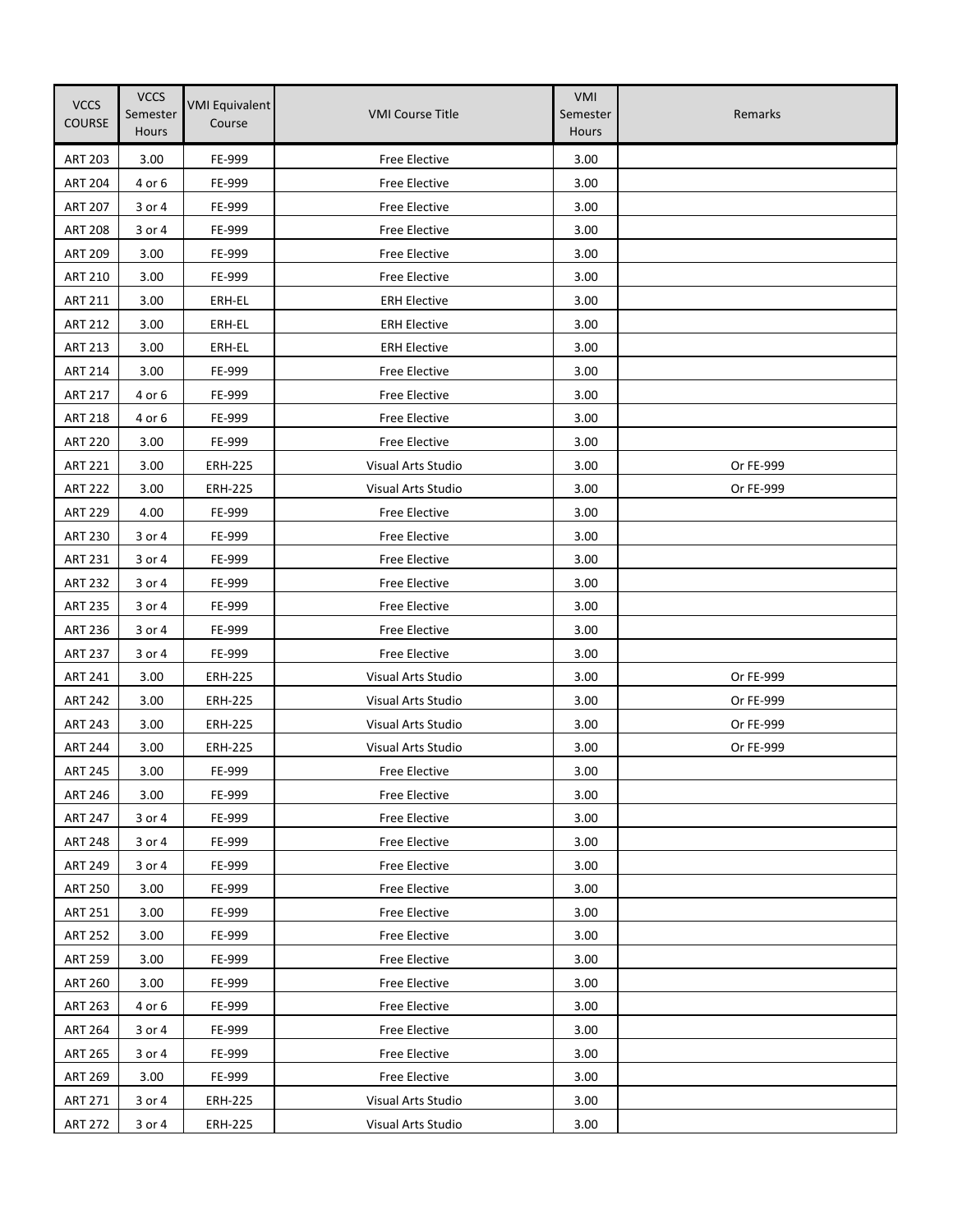| <b>VCCS</b><br><b>COURSE</b> | <b>VCCS</b><br>Semester<br><b>Hours</b> | <b>VMI Equivalent</b><br>Course | <b>VMI Course Title</b>   | VMI<br>Semester<br>Hours | Remarks   |
|------------------------------|-----------------------------------------|---------------------------------|---------------------------|--------------------------|-----------|
| <b>ART 203</b>               | 3.00                                    | FE-999                          | <b>Free Elective</b>      | 3.00                     |           |
| <b>ART 204</b>               | 4 or 6                                  | FE-999                          | <b>Free Elective</b>      | 3.00                     |           |
| <b>ART 207</b>               | 3 or 4                                  | FE-999                          | Free Elective             | 3.00                     |           |
| <b>ART 208</b>               | 3 or 4                                  | FE-999                          | Free Elective             | 3.00                     |           |
| <b>ART 209</b>               | 3.00                                    | FE-999                          | Free Elective             | 3.00                     |           |
| <b>ART 210</b>               | 3.00                                    | FE-999                          | <b>Free Elective</b>      | 3.00                     |           |
| <b>ART 211</b>               | 3.00                                    | ERH-EL                          | <b>ERH Elective</b>       | 3.00                     |           |
| <b>ART 212</b>               | 3.00                                    | ERH-EL                          | <b>ERH Elective</b>       | 3.00                     |           |
| <b>ART 213</b>               | 3.00                                    | ERH-EL                          | <b>ERH Elective</b>       | 3.00                     |           |
| <b>ART 214</b>               | 3.00                                    | FE-999                          | <b>Free Elective</b>      | 3.00                     |           |
| <b>ART 217</b>               | 4 or 6                                  | FE-999                          | Free Elective             | 3.00                     |           |
| <b>ART 218</b>               | 4 or 6                                  | FE-999                          | Free Elective             | 3.00                     |           |
| <b>ART 220</b>               | 3.00                                    | FE-999                          | <b>Free Elective</b>      | 3.00                     |           |
| <b>ART 221</b>               | 3.00                                    | <b>ERH-225</b>                  | Visual Arts Studio        | 3.00                     | Or FE-999 |
| <b>ART 222</b>               | 3.00                                    | <b>ERH-225</b>                  | Visual Arts Studio        | 3.00                     | Or FE-999 |
| <b>ART 229</b>               | 4.00                                    | FE-999                          | Free Elective             | 3.00                     |           |
| <b>ART 230</b>               | 3 or 4                                  | FE-999                          | Free Elective             | 3.00                     |           |
| <b>ART 231</b>               | 3 or 4                                  | FE-999                          | <b>Free Elective</b>      | 3.00                     |           |
| <b>ART 232</b>               | 3 or 4                                  | FE-999                          | Free Elective             | 3.00                     |           |
| <b>ART 235</b>               | 3 or 4                                  | FE-999                          | Free Elective             | 3.00                     |           |
| <b>ART 236</b>               | 3 or 4                                  | FE-999                          | Free Elective             | 3.00                     |           |
| <b>ART 237</b>               | 3 or 4                                  | FE-999                          | Free Elective             | 3.00                     |           |
| <b>ART 241</b>               | 3.00                                    | <b>ERH-225</b>                  | Visual Arts Studio        | 3.00                     | Or FE-999 |
| <b>ART 242</b>               | 3.00                                    | <b>ERH-225</b>                  | Visual Arts Studio        | 3.00                     | Or FE-999 |
| <b>ART 243</b>               | 3.00                                    | <b>ERH-225</b>                  | <b>Visual Arts Studio</b> | 3.00                     | Or FE-999 |
| <b>ART 244</b>               | 3.00                                    | <b>ERH-225</b>                  | Visual Arts Studio        | 3.00                     | Or FE-999 |
| <b>ART 245</b>               | 3.00                                    | FE-999                          | Free Elective             | 3.00                     |           |
| <b>ART 246</b>               | 3.00                                    | FE-999                          | Free Elective             | 3.00                     |           |
| <b>ART 247</b>               | 3 or 4                                  | FE-999                          | <b>Free Elective</b>      | 3.00                     |           |
| <b>ART 248</b>               | 3 or 4                                  | FE-999                          | Free Elective             | 3.00                     |           |
| <b>ART 249</b>               | 3 or 4                                  | FE-999                          | Free Elective             | 3.00                     |           |
| <b>ART 250</b>               | 3.00                                    | FE-999                          | Free Elective             | 3.00                     |           |
| <b>ART 251</b>               | 3.00                                    | FE-999                          | Free Elective             | 3.00                     |           |
| <b>ART 252</b>               | 3.00                                    | FE-999                          | Free Elective             | 3.00                     |           |
| <b>ART 259</b>               | 3.00                                    | FE-999                          | Free Elective             | 3.00                     |           |
| <b>ART 260</b>               | 3.00                                    | FE-999                          | Free Elective             | 3.00                     |           |
| <b>ART 263</b>               | 4 or 6                                  | FE-999                          | Free Elective             | 3.00                     |           |
| <b>ART 264</b>               | 3 or 4                                  | FE-999                          | Free Elective             | 3.00                     |           |
| <b>ART 265</b>               | 3 or 4                                  | FE-999                          | Free Elective             | 3.00                     |           |
| <b>ART 269</b>               | 3.00                                    | FE-999                          | Free Elective             | 3.00                     |           |
| ART 271                      | 3 or 4                                  | <b>ERH-225</b>                  | Visual Arts Studio        | 3.00                     |           |
| <b>ART 272</b>               | 3 or 4                                  | <b>ERH-225</b>                  | Visual Arts Studio        | 3.00                     |           |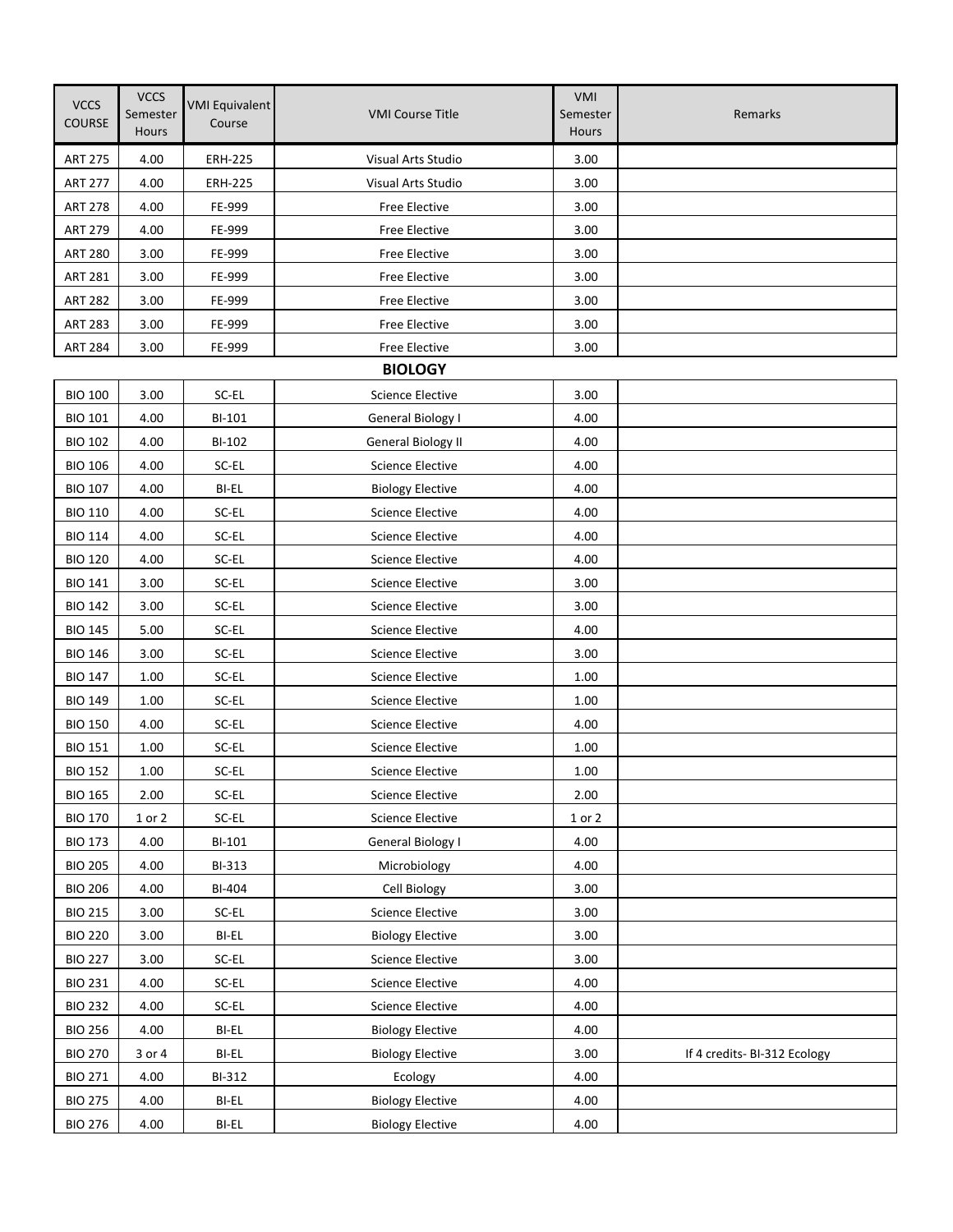| <b>VCCS</b><br><b>COURSE</b> | <b>VCCS</b><br>Semester<br>Hours | <b>VMI Equivalent</b><br>Course | <b>VMI Course Title</b>   | VMI<br>Semester<br><b>Hours</b> | Remarks                      |
|------------------------------|----------------------------------|---------------------------------|---------------------------|---------------------------------|------------------------------|
| <b>ART 275</b>               | 4.00                             | <b>ERH-225</b>                  | Visual Arts Studio        | 3.00                            |                              |
| <b>ART 277</b>               | 4.00                             | <b>ERH-225</b>                  | Visual Arts Studio        | 3.00                            |                              |
| <b>ART 278</b>               | 4.00                             | FE-999                          | Free Elective             | 3.00                            |                              |
| <b>ART 279</b>               | 4.00                             | FE-999                          | Free Elective             | 3.00                            |                              |
| <b>ART 280</b>               | 3.00                             | FE-999                          | Free Elective             | 3.00                            |                              |
| <b>ART 281</b>               | 3.00                             | FE-999                          | Free Elective             | 3.00                            |                              |
| <b>ART 282</b>               | 3.00                             | FE-999                          | Free Elective             | 3.00                            |                              |
| <b>ART 283</b>               | 3.00                             | FE-999                          | Free Elective             | 3.00                            |                              |
| <b>ART 284</b>               | 3.00                             | FE-999                          | Free Elective             | 3.00                            |                              |
|                              |                                  |                                 | <b>BIOLOGY</b>            |                                 |                              |
| <b>BIO 100</b>               | 3.00                             | SC-EL                           | <b>Science Elective</b>   | 3.00                            |                              |
| <b>BIO 101</b>               | 4.00                             | BI-101                          | General Biology I         | 4.00                            |                              |
| <b>BIO 102</b>               | 4.00                             | BI-102                          | <b>General Biology II</b> | 4.00                            |                              |
| <b>BIO 106</b>               | 4.00                             | SC-EL                           | <b>Science Elective</b>   | 4.00                            |                              |
| <b>BIO 107</b>               | 4.00                             | BI-EL                           | <b>Biology Elective</b>   | 4.00                            |                              |
| <b>BIO 110</b>               | 4.00                             | SC-EL                           | <b>Science Elective</b>   | 4.00                            |                              |
| <b>BIO 114</b>               | 4.00                             | SC-EL                           | <b>Science Elective</b>   | 4.00                            |                              |
| <b>BIO 120</b>               | 4.00                             | SC-EL                           | <b>Science Elective</b>   | 4.00                            |                              |
| <b>BIO 141</b>               | 3.00                             | SC-EL                           | <b>Science Elective</b>   | 3.00                            |                              |
| <b>BIO 142</b>               | 3.00                             | SC-EL                           | <b>Science Elective</b>   | 3.00                            |                              |
| <b>BIO 145</b>               | 5.00                             | SC-EL                           | <b>Science Elective</b>   | 4.00                            |                              |
| <b>BIO 146</b>               | 3.00                             | SC-EL                           | Science Elective          | 3.00                            |                              |
| <b>BIO 147</b>               | 1.00                             | SC-EL                           | <b>Science Elective</b>   | 1.00                            |                              |
| <b>BIO 149</b>               | 1.00                             | SC-EL                           | <b>Science Elective</b>   | 1.00                            |                              |
| <b>BIO 150</b>               | 4.00                             | SC-EL                           | <b>Science Elective</b>   | 4.00                            |                              |
| <b>BIO 151</b>               | 1.00                             | SC-EL                           | <b>Science Elective</b>   | 1.00                            |                              |
| <b>BIO 152</b>               | 1.00                             | SC-EL                           | <b>Science Elective</b>   | 1.00                            |                              |
| <b>BIO 165</b>               | 2.00                             | $SC-EL$                         | <b>Science Elective</b>   | 2.00                            |                              |
| <b>BIO 170</b>               | $1$ or $2$                       | $SC-EL$                         | <b>Science Elective</b>   | $1$ or $2$                      |                              |
| <b>BIO 173</b>               | 4.00                             | BI-101                          | General Biology I         | 4.00                            |                              |
| <b>BIO 205</b>               | 4.00                             | BI-313                          | Microbiology              | 4.00                            |                              |
| <b>BIO 206</b>               | 4.00                             | BI-404                          | Cell Biology              | 3.00                            |                              |
| <b>BIO 215</b>               | 3.00                             | SC-EL                           | <b>Science Elective</b>   | 3.00                            |                              |
| <b>BIO 220</b>               | 3.00                             | BI-EL                           | <b>Biology Elective</b>   | 3.00                            |                              |
| <b>BIO 227</b>               | 3.00                             | SC-EL                           | <b>Science Elective</b>   | 3.00                            |                              |
| <b>BIO 231</b>               | 4.00                             | SC-EL                           | <b>Science Elective</b>   | 4.00                            |                              |
| <b>BIO 232</b>               | 4.00                             | $SC-EL$                         | <b>Science Elective</b>   | 4.00                            |                              |
| <b>BIO 256</b>               | 4.00                             | BI-EL                           | <b>Biology Elective</b>   | 4.00                            |                              |
| <b>BIO 270</b>               | 3 or 4                           | BI-EL                           | <b>Biology Elective</b>   | 3.00                            | If 4 credits- BI-312 Ecology |
| <b>BIO 271</b>               | 4.00                             | BI-312                          | Ecology                   | 4.00                            |                              |
| <b>BIO 275</b>               | 4.00                             | BI-EL                           | <b>Biology Elective</b>   | 4.00                            |                              |
| <b>BIO 276</b>               | 4.00                             | BI-EL                           | <b>Biology Elective</b>   | 4.00                            |                              |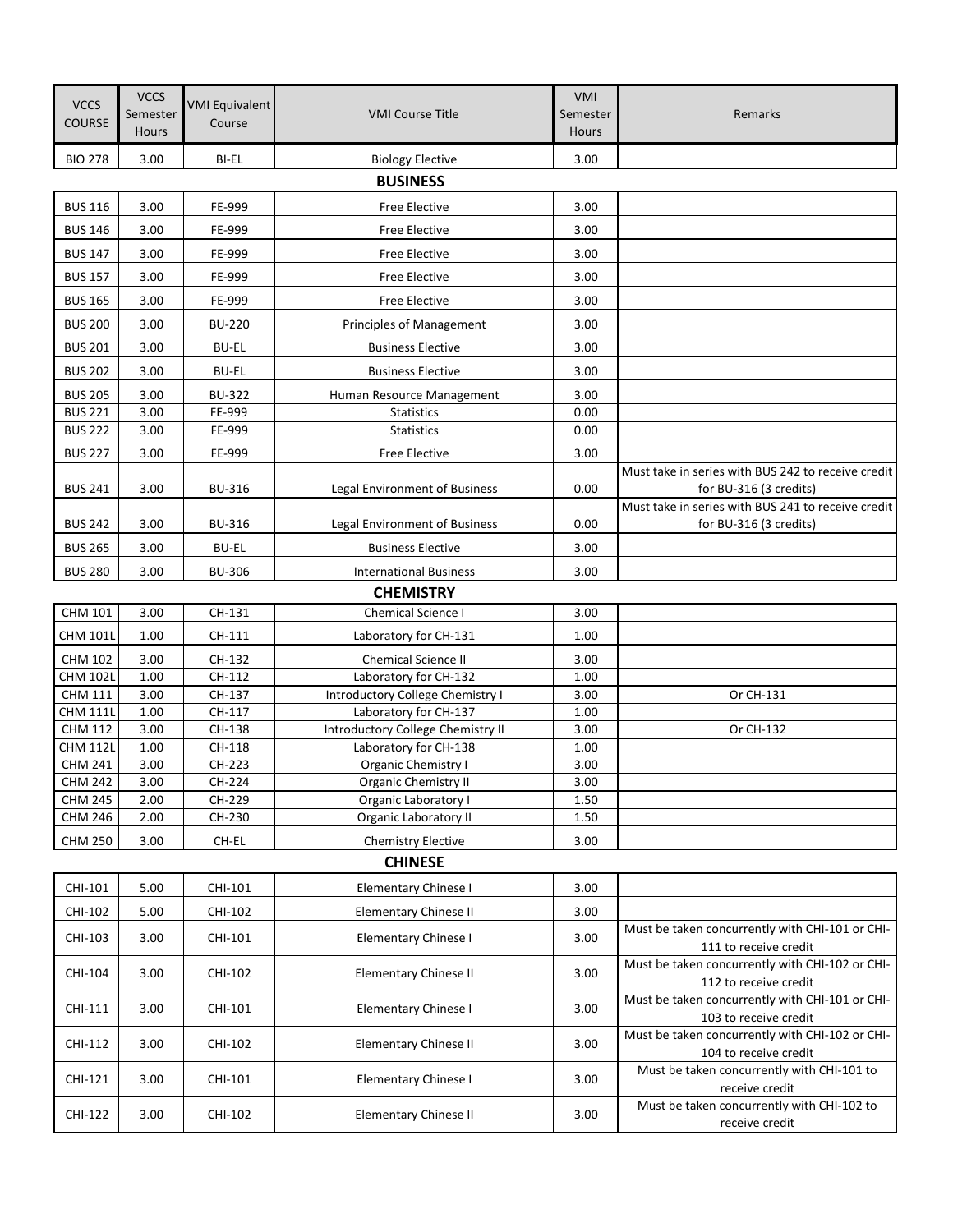| <b>VCCS</b><br><b>COURSE</b>      | <b>VCCS</b><br>Semester<br><b>Hours</b> | <b>VMI Equivalent</b><br>Course | <b>VMI Course Title</b>                                    | VMI<br>Semester<br><b>Hours</b> | Remarks                                                                  |  |  |  |  |
|-----------------------------------|-----------------------------------------|---------------------------------|------------------------------------------------------------|---------------------------------|--------------------------------------------------------------------------|--|--|--|--|
| <b>BIO 278</b>                    | 3.00                                    | BI-EL                           | <b>Biology Elective</b>                                    | 3.00                            |                                                                          |  |  |  |  |
| <b>BUSINESS</b>                   |                                         |                                 |                                                            |                                 |                                                                          |  |  |  |  |
| <b>BUS 116</b>                    | 3.00                                    | FE-999                          | Free Elective                                              | 3.00                            |                                                                          |  |  |  |  |
|                                   |                                         |                                 |                                                            |                                 |                                                                          |  |  |  |  |
| <b>BUS 146</b>                    | 3.00                                    | FE-999                          | <b>Free Elective</b>                                       | 3.00                            |                                                                          |  |  |  |  |
| <b>BUS 147</b>                    | 3.00                                    | FE-999                          | Free Elective                                              | 3.00                            |                                                                          |  |  |  |  |
| <b>BUS 157</b>                    | 3.00                                    | FE-999                          | <b>Free Elective</b>                                       | 3.00                            |                                                                          |  |  |  |  |
| <b>BUS 165</b>                    | 3.00                                    | FE-999                          | Free Elective                                              | 3.00                            |                                                                          |  |  |  |  |
| <b>BUS 200</b>                    | 3.00                                    | <b>BU-220</b>                   | <b>Principles of Management</b>                            | 3.00                            |                                                                          |  |  |  |  |
| <b>BUS 201</b>                    | 3.00                                    | <b>BU-EL</b>                    | <b>Business Elective</b>                                   | 3.00                            |                                                                          |  |  |  |  |
| <b>BUS 202</b>                    | 3.00                                    | <b>BU-EL</b>                    | <b>Business Elective</b>                                   | 3.00                            |                                                                          |  |  |  |  |
| <b>BUS 205</b>                    | 3.00                                    | <b>BU-322</b>                   | Human Resource Management                                  | 3.00                            |                                                                          |  |  |  |  |
| <b>BUS 221</b>                    | 3.00                                    | FE-999                          | <b>Statistics</b>                                          | 0.00                            |                                                                          |  |  |  |  |
| <b>BUS 222</b>                    | 3.00                                    | FE-999                          | <b>Statistics</b>                                          | 0.00                            |                                                                          |  |  |  |  |
| <b>BUS 227</b>                    | 3.00                                    | FE-999                          | Free Elective                                              | 3.00                            |                                                                          |  |  |  |  |
|                                   |                                         |                                 |                                                            |                                 | Must take in series with BUS 242 to receive credit                       |  |  |  |  |
| <b>BUS 241</b>                    | 3.00                                    | <b>BU-316</b>                   | Legal Environment of Business                              | 0.00                            | for BU-316 (3 credits)                                                   |  |  |  |  |
|                                   |                                         |                                 |                                                            |                                 | Must take in series with BUS 241 to receive credit                       |  |  |  |  |
| <b>BUS 242</b>                    | 3.00                                    | <b>BU-316</b>                   | Legal Environment of Business                              | 0.00                            | for BU-316 (3 credits)                                                   |  |  |  |  |
| <b>BUS 265</b>                    | 3.00                                    | <b>BU-EL</b>                    | <b>Business Elective</b>                                   | 3.00                            |                                                                          |  |  |  |  |
| <b>BUS 280</b>                    | 3.00                                    | <b>BU-306</b>                   | <b>International Business</b>                              | 3.00                            |                                                                          |  |  |  |  |
|                                   |                                         |                                 | <b>CHEMISTRY</b>                                           |                                 |                                                                          |  |  |  |  |
| CHM 101                           | 3.00                                    | CH-131                          | Chemical Science I                                         | 3.00                            |                                                                          |  |  |  |  |
| <b>CHM 101L</b>                   | 1.00                                    | CH-111                          | Laboratory for CH-131                                      | 1.00                            |                                                                          |  |  |  |  |
| <b>CHM 102</b>                    | 3.00                                    | CH-132                          | <b>Chemical Science II</b>                                 | 3.00                            |                                                                          |  |  |  |  |
| <b>CHM 102L</b>                   | 1.00                                    | CH-112                          | Laboratory for CH-132                                      | 1.00                            |                                                                          |  |  |  |  |
| <b>CHM 111</b>                    | 3.00                                    | CH-137                          | Introductory College Chemistry I                           | 3.00                            | Or CH-131                                                                |  |  |  |  |
| <b>CHM 111L</b><br><b>CHM 112</b> | 1.00<br>3.00                            | CH-117<br>CH-138                | Laboratory for CH-137<br>Introductory College Chemistry II | 1.00<br>3.00                    | Or CH-132                                                                |  |  |  |  |
| <b>CHM 112L</b>                   | 1.00                                    | CH-118                          | Laboratory for CH-138                                      | 1.00                            |                                                                          |  |  |  |  |
| <b>CHM 241</b>                    | 3.00                                    | CH-223                          | <b>Organic Chemistry I</b>                                 | 3.00                            |                                                                          |  |  |  |  |
| <b>CHM 242</b>                    | 3.00                                    | CH-224                          | Organic Chemistry II                                       | 3.00                            |                                                                          |  |  |  |  |
| <b>CHM 245</b>                    | 2.00                                    | CH-229                          | Organic Laboratory I                                       | 1.50                            |                                                                          |  |  |  |  |
| <b>CHM 246</b>                    | 2.00                                    | CH-230                          | <b>Organic Laboratory II</b>                               | 1.50                            |                                                                          |  |  |  |  |
| <b>CHM 250</b>                    | 3.00                                    | CH-EL                           | <b>Chemistry Elective</b>                                  | 3.00                            |                                                                          |  |  |  |  |
|                                   |                                         |                                 | <b>CHINESE</b>                                             |                                 |                                                                          |  |  |  |  |
| CHI-101                           | 5.00                                    | CHI-101                         | Elementary Chinese I                                       | 3.00                            |                                                                          |  |  |  |  |
| CHI-102                           | 5.00                                    | CHI-102                         | <b>Elementary Chinese II</b>                               | 3.00                            |                                                                          |  |  |  |  |
| CHI-103                           | 3.00                                    | CHI-101                         | Elementary Chinese I                                       | 3.00                            | Must be taken concurrently with CHI-101 or CHI-<br>111 to receive credit |  |  |  |  |
| CHI-104                           | 3.00                                    | CHI-102                         | <b>Elementary Chinese II</b>                               | 3.00                            | Must be taken concurrently with CHI-102 or CHI-<br>112 to receive credit |  |  |  |  |
| CHI-111                           | 3.00                                    | CHI-101                         | Elementary Chinese I                                       | 3.00                            | Must be taken concurrently with CHI-101 or CHI-<br>103 to receive credit |  |  |  |  |
| CHI-112                           | 3.00                                    | CHI-102                         | Elementary Chinese II                                      | 3.00                            | Must be taken concurrently with CHI-102 or CHI-<br>104 to receive credit |  |  |  |  |
| CHI-121                           | 3.00                                    | CHI-101                         | Elementary Chinese I                                       | 3.00                            | Must be taken concurrently with CHI-101 to<br>receive credit             |  |  |  |  |
| CHI-122                           | 3.00                                    | CHI-102                         | Elementary Chinese II                                      | 3.00                            | Must be taken concurrently with CHI-102 to<br>receive credit             |  |  |  |  |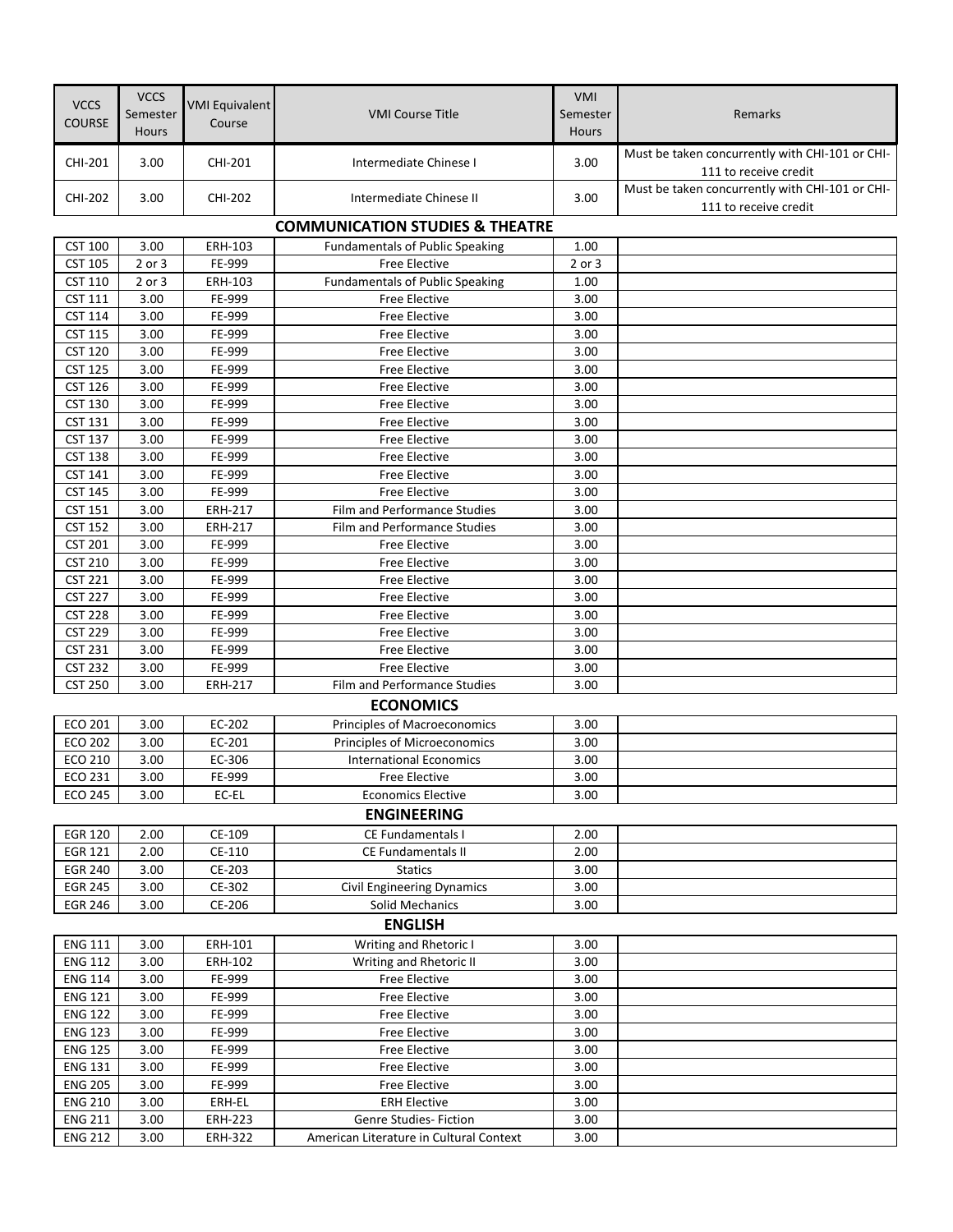| <b>VCCS</b><br><b>COURSE</b>     | <b>VCCS</b><br>Semester<br>Hours | <b>VMI Equivalent</b><br>Course | <b>VMI Course Title</b>                              | VMI<br>Semester<br>Hours | Remarks                                                                  |
|----------------------------------|----------------------------------|---------------------------------|------------------------------------------------------|--------------------------|--------------------------------------------------------------------------|
| CHI-201                          | 3.00                             | CHI-201                         | Intermediate Chinese I                               | 3.00                     | Must be taken concurrently with CHI-101 or CHI-<br>111 to receive credit |
| CHI-202                          | 3.00                             | <b>CHI-202</b>                  | Intermediate Chinese II                              | 3.00                     | Must be taken concurrently with CHI-101 or CHI-<br>111 to receive credit |
|                                  |                                  |                                 | <b>COMMUNICATION STUDIES &amp; THEATRE</b>           |                          |                                                                          |
| <b>CST 100</b>                   | 3.00                             | ERH-103                         | <b>Fundamentals of Public Speaking</b>               | 1.00                     |                                                                          |
| <b>CST 105</b>                   | 2 or 3                           | FE-999                          | <b>Free Elective</b>                                 | 2 or 3                   |                                                                          |
| <b>CST 110</b>                   | 2 or 3                           | ERH-103                         | <b>Fundamentals of Public Speaking</b>               | 1.00                     |                                                                          |
| <b>CST 111</b>                   | 3.00                             | FE-999                          | <b>Free Elective</b>                                 | 3.00                     |                                                                          |
| <b>CST 114</b>                   | 3.00                             | FE-999                          | <b>Free Elective</b>                                 | 3.00                     |                                                                          |
| <b>CST 115</b>                   | 3.00                             | FE-999                          | <b>Free Elective</b>                                 | 3.00                     |                                                                          |
| <b>CST 120</b>                   | 3.00                             | FE-999                          | <b>Free Elective</b>                                 | 3.00                     |                                                                          |
| <b>CST 125</b>                   | 3.00                             | FE-999                          | <b>Free Elective</b>                                 | 3.00                     |                                                                          |
| <b>CST 126</b>                   | 3.00                             | FE-999                          | <b>Free Elective</b>                                 | 3.00                     |                                                                          |
| <b>CST 130</b>                   | 3.00                             | FE-999                          | <b>Free Elective</b>                                 | 3.00                     |                                                                          |
| <b>CST 131</b>                   | 3.00                             | FE-999                          | <b>Free Elective</b>                                 | 3.00                     |                                                                          |
| <b>CST 137</b>                   | 3.00                             | FE-999                          | <b>Free Elective</b>                                 | 3.00                     |                                                                          |
| <b>CST 138</b>                   | 3.00                             | FE-999                          | <b>Free Elective</b>                                 | 3.00                     |                                                                          |
| <b>CST 141</b>                   | 3.00                             | FE-999                          | <b>Free Elective</b>                                 | 3.00                     |                                                                          |
| <b>CST 145</b><br><b>CST 151</b> | 3.00<br>3.00                     | FE-999<br><b>ERH-217</b>        | <b>Free Elective</b><br>Film and Performance Studies | 3.00<br>3.00             |                                                                          |
| <b>CST 152</b>                   | 3.00                             | <b>ERH-217</b>                  | Film and Performance Studies                         | 3.00                     |                                                                          |
| <b>CST 201</b>                   | 3.00                             | FE-999                          | <b>Free Elective</b>                                 | 3.00                     |                                                                          |
| <b>CST 210</b>                   | 3.00                             | FE-999                          | <b>Free Elective</b>                                 | 3.00                     |                                                                          |
| <b>CST 221</b>                   | 3.00                             | FE-999                          | <b>Free Elective</b>                                 | 3.00                     |                                                                          |
| <b>CST 227</b>                   | 3.00                             | FE-999                          | <b>Free Elective</b>                                 | 3.00                     |                                                                          |
| <b>CST 228</b>                   | 3.00                             | FE-999                          | <b>Free Elective</b>                                 | 3.00                     |                                                                          |
| <b>CST 229</b>                   | 3.00                             | FE-999                          | <b>Free Elective</b>                                 | 3.00                     |                                                                          |
| <b>CST 231</b>                   | 3.00                             | FE-999                          | <b>Free Elective</b>                                 | 3.00                     |                                                                          |
| <b>CST 232</b>                   | 3.00                             | FE-999                          | <b>Free Elective</b>                                 | 3.00                     |                                                                          |
| <b>CST 250</b>                   | 3.00                             | ERH-217                         | Film and Performance Studies                         | 3.00                     |                                                                          |
|                                  |                                  |                                 | <b>ECONOMICS</b>                                     |                          |                                                                          |
| ECO 201                          | 3.00                             | EC-202                          | Principles of Macroeconomics                         | 3.00                     |                                                                          |
| <b>ECO 202</b>                   | 3.00                             | EC-201                          | Principles of Microeconomics                         | 3.00                     |                                                                          |
| ECO 210                          | 3.00                             | EC-306                          | <b>International Economics</b>                       | 3.00                     |                                                                          |
| ECO 231                          | 3.00                             | FE-999                          | Free Elective                                        | 3.00                     |                                                                          |
| <b>ECO 245</b>                   | 3.00                             | EC-EL                           | <b>Economics Elective</b>                            | 3.00                     |                                                                          |
|                                  |                                  |                                 | <b>ENGINEERING</b>                                   |                          |                                                                          |
| <b>EGR 120</b>                   | 2.00                             | CE-109                          | CE Fundamentals I                                    | 2.00                     |                                                                          |
| EGR 121                          | 2.00                             | CE-110                          | CE Fundamentals II                                   | 2.00                     |                                                                          |
| <b>EGR 240</b>                   | 3.00                             | CE-203                          | <b>Statics</b>                                       | 3.00                     |                                                                          |
| <b>EGR 245</b><br><b>EGR 246</b> | 3.00                             | CE-302                          | <b>Civil Engineering Dynamics</b>                    | 3.00                     |                                                                          |
|                                  | 3.00                             | CE-206                          | Solid Mechanics                                      | 3.00                     |                                                                          |
|                                  |                                  |                                 | <b>ENGLISH</b>                                       |                          |                                                                          |
| <b>ENG 111</b>                   | 3.00                             | ERH-101                         | Writing and Rhetoric I                               | 3.00                     |                                                                          |
| <b>ENG 112</b>                   | 3.00<br>3.00                     | ERH-102<br>FE-999               | Writing and Rhetoric II<br>Free Elective             | 3.00<br>3.00             |                                                                          |
| <b>ENG 114</b><br><b>ENG 121</b> | 3.00                             | FE-999                          | Free Elective                                        | 3.00                     |                                                                          |
| <b>ENG 122</b>                   | 3.00                             | FE-999                          | Free Elective                                        | 3.00                     |                                                                          |
| <b>ENG 123</b>                   | 3.00                             | FE-999                          | Free Elective                                        | 3.00                     |                                                                          |
| <b>ENG 125</b>                   | 3.00                             | FE-999                          | Free Elective                                        | 3.00                     |                                                                          |
| <b>ENG 131</b>                   | 3.00                             | FE-999                          | Free Elective                                        | 3.00                     |                                                                          |
| <b>ENG 205</b>                   | 3.00                             | FE-999                          | Free Elective                                        | 3.00                     |                                                                          |
| <b>ENG 210</b>                   | 3.00                             | ERH-EL                          | <b>ERH Elective</b>                                  | 3.00                     |                                                                          |
| <b>ENG 211</b>                   | 3.00                             | <b>ERH-223</b>                  | Genre Studies- Fiction                               | 3.00                     |                                                                          |
| <b>ENG 212</b>                   | 3.00                             | <b>ERH-322</b>                  | American Literature in Cultural Context              | 3.00                     |                                                                          |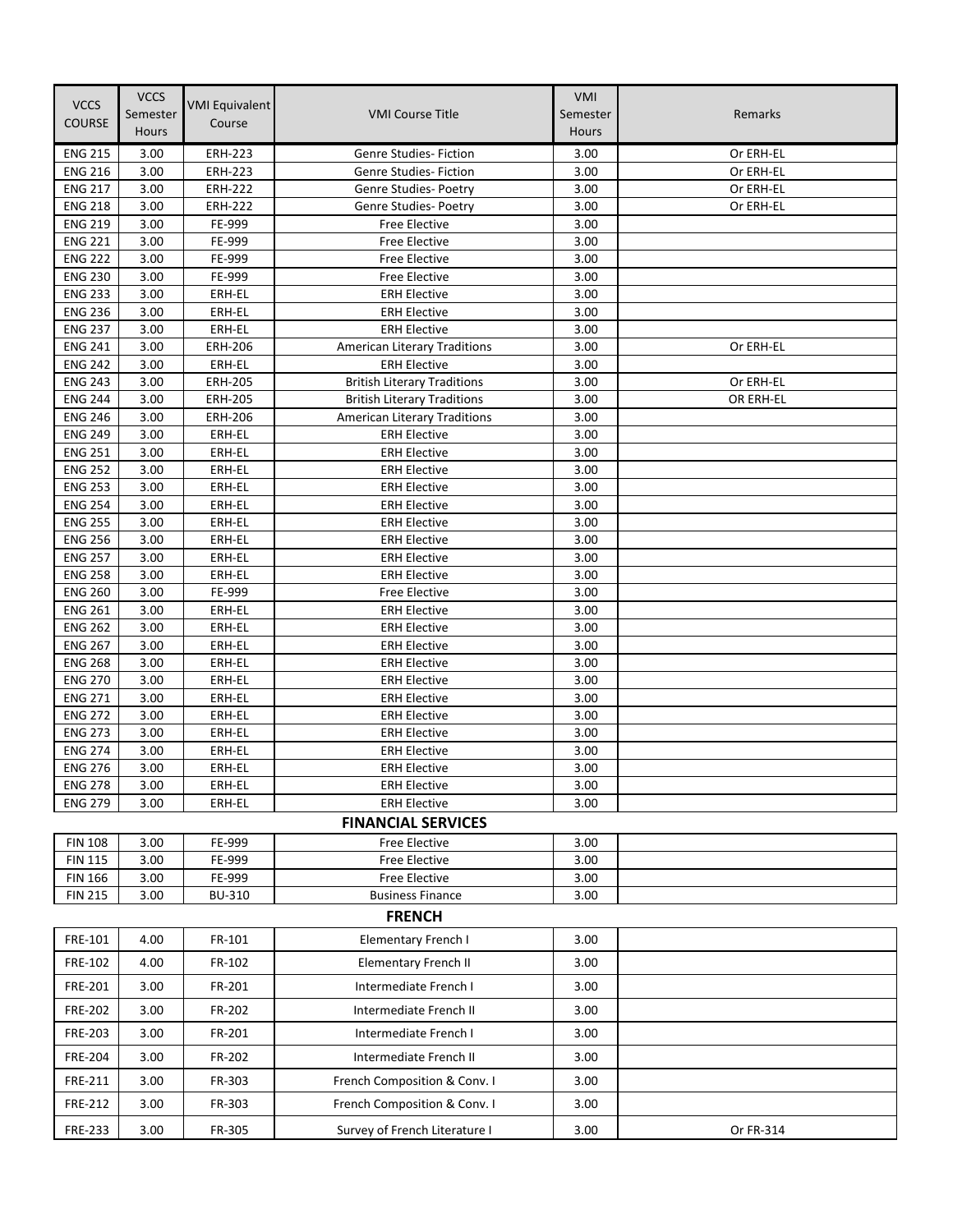| <b>VCCS</b>                      | <b>VCCS</b>  | <b>VMI Equivalent</b> |                                            | <b>VMI</b>   |           |
|----------------------------------|--------------|-----------------------|--------------------------------------------|--------------|-----------|
| <b>COURSE</b>                    | Semester     | Course                | <b>VMI Course Title</b>                    | Semester     | Remarks   |
|                                  | <b>Hours</b> |                       |                                            | <b>Hours</b> |           |
| <b>ENG 215</b>                   | 3.00         | <b>ERH-223</b>        | <b>Genre Studies- Fiction</b>              | 3.00         | Or ERH-EL |
| <b>ENG 216</b>                   | 3.00         | <b>ERH-223</b>        | <b>Genre Studies- Fiction</b>              | 3.00         | Or ERH-EL |
| <b>ENG 217</b>                   | 3.00         | <b>ERH-222</b>        | Genre Studies- Poetry                      | 3.00         | Or ERH-EL |
| <b>ENG 218</b>                   | 3.00         | <b>ERH-222</b>        | Genre Studies- Poetry                      | 3.00         | Or ERH-EL |
| <b>ENG 219</b>                   | 3.00         | FE-999                | Free Elective                              | 3.00         |           |
| <b>ENG 221</b>                   | 3.00         | FE-999                | Free Elective                              | 3.00         |           |
| <b>ENG 222</b>                   | 3.00         | FE-999                | Free Elective                              | 3.00         |           |
| <b>ENG 230</b>                   | 3.00         | FE-999                | Free Elective                              | 3.00         |           |
| <b>ENG 233</b>                   | 3.00         | ERH-EL                | <b>ERH Elective</b>                        | 3.00         |           |
| <b>ENG 236</b>                   | 3.00         | ERH-EL                | <b>ERH Elective</b>                        | 3.00         |           |
| <b>ENG 237</b>                   | 3.00         | ERH-EL                | <b>ERH Elective</b>                        | 3.00         |           |
| <b>ENG 241</b>                   | 3.00         | <b>ERH-206</b>        | American Literary Traditions               | 3.00         | Or ERH-EL |
| <b>ENG 242</b>                   | 3.00         | ERH-EL                | <b>ERH Elective</b>                        | 3.00         |           |
| <b>ENG 243</b>                   | 3.00         | <b>ERH-205</b>        | <b>British Literary Traditions</b>         | 3.00         | Or ERH-EL |
| <b>ENG 244</b>                   | 3.00         | <b>ERH-205</b>        | <b>British Literary Traditions</b>         | 3.00         | OR ERH-EL |
| <b>ENG 246</b>                   | 3.00         | <b>ERH-206</b>        | American Literary Traditions               | 3.00<br>3.00 |           |
| <b>ENG 249</b><br><b>ENG 251</b> | 3.00<br>3.00 | ERH-EL<br>ERH-EL      | <b>ERH Elective</b>                        | 3.00         |           |
| <b>ENG 252</b>                   | 3.00         | ERH-EL                | <b>ERH Elective</b><br><b>ERH Elective</b> | 3.00         |           |
| <b>ENG 253</b>                   | 3.00         | ERH-EL                | <b>ERH Elective</b>                        | 3.00         |           |
| <b>ENG 254</b>                   | 3.00         | ERH-EL                | <b>ERH Elective</b>                        | 3.00         |           |
| <b>ENG 255</b>                   | 3.00         | ERH-EL                | <b>ERH Elective</b>                        | 3.00         |           |
| <b>ENG 256</b>                   | 3.00         | ERH-EL                | <b>ERH Elective</b>                        | 3.00         |           |
| <b>ENG 257</b>                   | 3.00         | ERH-EL                | <b>ERH Elective</b>                        | 3.00         |           |
| <b>ENG 258</b>                   | 3.00         | ERH-EL                | <b>ERH Elective</b>                        | 3.00         |           |
| <b>ENG 260</b>                   | 3.00         | FE-999                | Free Elective                              | 3.00         |           |
| <b>ENG 261</b>                   | 3.00         | ERH-EL                | <b>ERH Elective</b>                        | 3.00         |           |
| <b>ENG 262</b>                   | 3.00         | ERH-EL                | <b>ERH Elective</b>                        | 3.00         |           |
| <b>ENG 267</b>                   | 3.00         | ERH-EL                | <b>ERH Elective</b>                        | 3.00         |           |
| <b>ENG 268</b>                   | 3.00         | ERH-EL                | <b>ERH Elective</b>                        | 3.00         |           |
| <b>ENG 270</b>                   | 3.00         | ERH-EL                | <b>ERH Elective</b>                        | 3.00         |           |
| <b>ENG 271</b>                   | 3.00         | ERH-EL                | <b>ERH Elective</b>                        | 3.00         |           |
| <b>ENG 272</b>                   | 3.00         | ERH-EL                | <b>ERH Elective</b>                        | 3.00         |           |
| <b>ENG 273</b>                   | 3.00         | ERH-EL                | <b>ERH Elective</b>                        | 3.00         |           |
| <b>ENG 274</b>                   | 3.00         | ERH-EL                | <b>ERH Elective</b>                        | 3.00         |           |
| <b>ENG 276</b>                   | 3.00         | ERH-EL                | <b>ERH Elective</b>                        | 3.00         |           |
| <b>ENG 278</b>                   | 3.00         | ERH-EL                | <b>ERH Elective</b>                        | 3.00         |           |
| <b>ENG 279</b>                   | 3.00         | ERH-EL                | <b>ERH Elective</b>                        | 3.00         |           |
|                                  |              |                       | <b>FINANCIAL SERVICES</b>                  |              |           |
| <b>FIN 108</b>                   | 3.00         | FE-999                | Free Elective                              | 3.00         |           |
| <b>FIN 115</b>                   | 3.00         | FE-999                | Free Elective                              | 3.00         |           |
| <b>FIN 166</b>                   | 3.00         | FE-999                | Free Elective                              | 3.00         |           |
| <b>FIN 215</b>                   | 3.00         | BU-310                | <b>Business Finance</b>                    | 3.00         |           |
|                                  |              |                       | <b>FRENCH</b>                              |              |           |
| FRE-101                          | 4.00         | FR-101                | Elementary French I                        | 3.00         |           |
| FRE-102                          | 4.00         | FR-102                | <b>Elementary French II</b>                | 3.00         |           |
| <b>FRE-201</b>                   | 3.00         | FR-201                | Intermediate French I                      | 3.00         |           |
| <b>FRE-202</b>                   | 3.00         | FR-202                | Intermediate French II                     | 3.00         |           |
| <b>FRE-203</b>                   | 3.00         | FR-201                | Intermediate French I                      | 3.00         |           |
| <b>FRE-204</b>                   | 3.00         | FR-202                | Intermediate French II                     | 3.00         |           |
| FRE-211                          | 3.00         | FR-303                | French Composition & Conv. I               | 3.00         |           |
| <b>FRE-212</b>                   |              | FR-303                | French Composition & Conv. I               | 3.00         |           |
|                                  | 3.00         |                       |                                            |              |           |
| FRE-233                          | 3.00         | FR-305                | Survey of French Literature I              | 3.00         | Or FR-314 |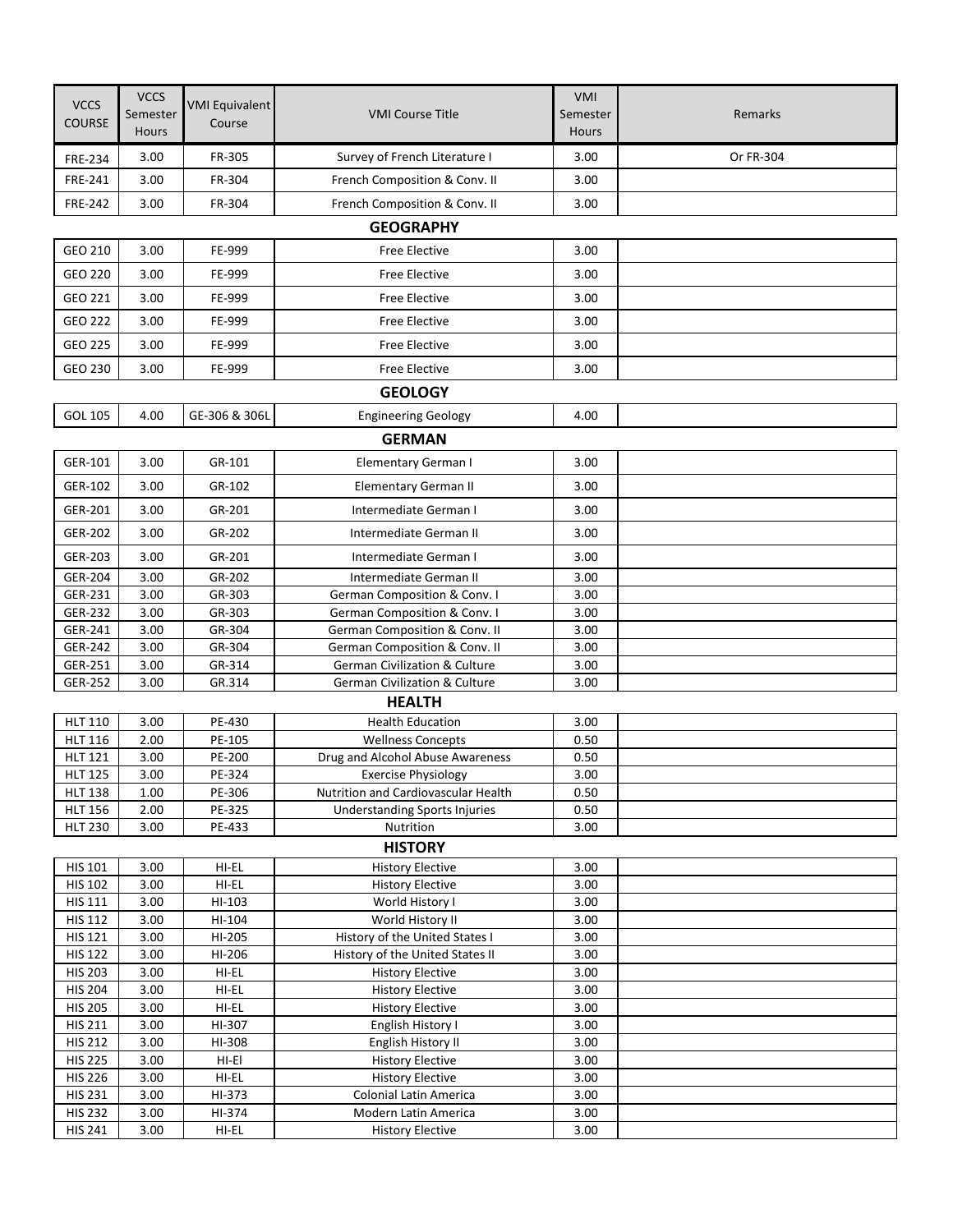|                                  | <b>VCCS</b>  |                       |                                                                | VMI          |           |
|----------------------------------|--------------|-----------------------|----------------------------------------------------------------|--------------|-----------|
| <b>VCCS</b>                      | Semester     | <b>VMI Equivalent</b> | <b>VMI Course Title</b>                                        | Semester     | Remarks   |
| <b>COURSE</b>                    | <b>Hours</b> | Course                |                                                                | Hours        |           |
| FRE-234                          | 3.00         | FR-305                | Survey of French Literature I                                  | 3.00         | Or FR-304 |
| <b>FRE-241</b>                   | 3.00         | FR-304                | French Composition & Conv. II                                  | 3.00         |           |
| <b>FRE-242</b>                   | 3.00         | FR-304                | French Composition & Conv. II                                  | 3.00         |           |
|                                  |              |                       | <b>GEOGRAPHY</b>                                               |              |           |
| GEO 210                          | 3.00         | FE-999                | <b>Free Elective</b>                                           | 3.00         |           |
|                                  |              |                       |                                                                |              |           |
| GEO 220                          | 3.00         | FE-999                | <b>Free Elective</b>                                           | 3.00         |           |
| GEO 221                          | 3.00         | FE-999                | <b>Free Elective</b>                                           | 3.00         |           |
| GEO 222                          | 3.00         | FE-999                | <b>Free Elective</b>                                           | 3.00         |           |
| GEO 225                          | 3.00         | FE-999                | <b>Free Elective</b>                                           | 3.00         |           |
| GEO 230                          | 3.00         | FE-999                | <b>Free Elective</b>                                           | 3.00         |           |
|                                  |              |                       | <b>GEOLOGY</b>                                                 |              |           |
| GOL 105                          | 4.00         | GE-306 & 306L         | <b>Engineering Geology</b>                                     | 4.00         |           |
|                                  |              |                       | <b>GERMAN</b>                                                  |              |           |
| GER-101                          | 3.00         | GR-101                | Elementary German I                                            | 3.00         |           |
|                                  |              |                       |                                                                |              |           |
| GER-102                          | 3.00         | GR-102                | <b>Elementary German II</b>                                    | 3.00         |           |
| GER-201                          | 3.00         | GR-201                | Intermediate German I                                          | 3.00         |           |
| GER-202                          | 3.00         | GR-202                | Intermediate German II                                         | 3.00         |           |
| GER-203                          | 3.00         | GR-201                | Intermediate German I                                          | 3.00         |           |
| GER-204                          | 3.00         | GR-202                | Intermediate German II                                         | 3.00         |           |
| GER-231                          | 3.00         | GR-303                | German Composition & Conv. I                                   | 3.00         |           |
| GER-232<br>GER-241               | 3.00<br>3.00 | GR-303<br>GR-304      | German Composition & Conv. I<br>German Composition & Conv. II  | 3.00<br>3.00 |           |
| GER-242                          | 3.00         | GR-304                | German Composition & Conv. II                                  | 3.00         |           |
| GER-251                          | 3.00         | GR-314                | German Civilization & Culture                                  | 3.00         |           |
| GER-252                          | 3.00         | GR.314                | <b>German Civilization &amp; Culture</b>                       | 3.00         |           |
|                                  |              |                       | <b>HEALTH</b>                                                  |              |           |
| <b>HLT 110</b>                   | 3.00         | PE-430                | <b>Health Education</b>                                        | 3.00         |           |
| <b>HLT 116</b>                   | 2.00         | PE-105                | <b>Wellness Concepts</b>                                       | 0.50         |           |
| <b>HLT 121</b><br><b>HLT 125</b> | 3.00<br>3.00 | PE-200<br>PE-324      | Drug and Alcohol Abuse Awareness<br><b>Exercise Physiology</b> | 0.50<br>3.00 |           |
| <b>HLT 138</b>                   | 1.00         | PE-306                | Nutrition and Cardiovascular Health                            | 0.50         |           |
| <b>HLT 156</b>                   | 2.00         | PE-325                | <b>Understanding Sports Injuries</b>                           | 0.50         |           |
| <b>HLT 230</b>                   | 3.00         | PE-433                | Nutrition                                                      | 3.00         |           |
|                                  |              |                       | <b>HISTORY</b>                                                 |              |           |
| <b>HIS 101</b>                   | 3.00         | HI-EL                 | <b>History Elective</b>                                        | 3.00         |           |
| <b>HIS 102</b>                   | 3.00         | HI-EL                 | <b>History Elective</b>                                        | 3.00         |           |
| <b>HIS 111</b><br><b>HIS 112</b> | 3.00<br>3.00 | HI-103<br>HI-104      | World History I<br>World History II                            | 3.00<br>3.00 |           |
| <b>HIS 121</b>                   | 3.00         | HI-205                | History of the United States I                                 | 3.00         |           |
| <b>HIS 122</b>                   | 3.00         | HI-206                | History of the United States II                                | 3.00         |           |
| <b>HIS 203</b>                   | 3.00         | HI-EL                 | <b>History Elective</b>                                        | 3.00         |           |
| <b>HIS 204</b>                   | 3.00         | HI-EL                 | <b>History Elective</b>                                        | 3.00         |           |
| <b>HIS 205</b><br><b>HIS 211</b> | 3.00<br>3.00 | HI-EL<br>HI-307       | <b>History Elective</b><br>English History I                   | 3.00<br>3.00 |           |
| <b>HIS 212</b>                   | 3.00         | HI-308                | English History II                                             | 3.00         |           |
| <b>HIS 225</b>                   | 3.00         | $HI-EI$               | <b>History Elective</b>                                        | 3.00         |           |
| <b>HIS 226</b>                   | 3.00         | HI-EL                 | <b>History Elective</b>                                        | 3.00         |           |
| <b>HIS 231</b>                   | 3.00         | HI-373                | Colonial Latin America                                         | 3.00         |           |
| <b>HIS 232</b>                   | 3.00         | HI-374                | Modern Latin America                                           | 3.00         |           |
| <b>HIS 241</b>                   | 3.00         | HI-EL                 | <b>History Elective</b>                                        | 3.00         |           |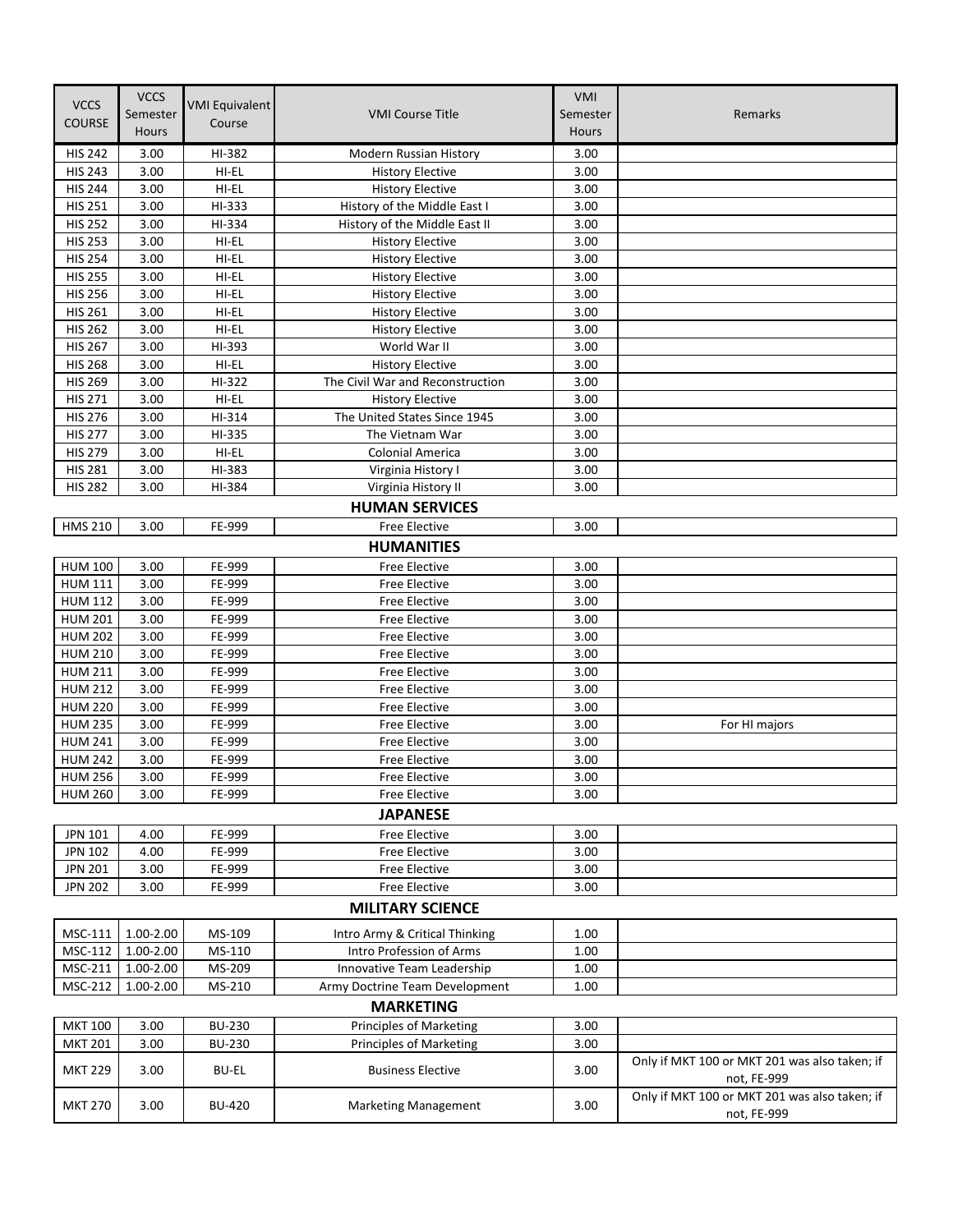| <b>VCCS</b>    | <b>VCCS</b>  | <b>VMI Equivalent</b> |                                                            | VMI          |                                                              |
|----------------|--------------|-----------------------|------------------------------------------------------------|--------------|--------------------------------------------------------------|
|                | Semester     |                       | <b>VMI Course Title</b>                                    | Semester     | Remarks                                                      |
| <b>COURSE</b>  | <b>Hours</b> | Course                |                                                            | <b>Hours</b> |                                                              |
| <b>HIS 242</b> | 3.00         | HI-382                | Modern Russian History                                     | 3.00         |                                                              |
| <b>HIS 243</b> | 3.00         | HI-EL                 | <b>History Elective</b>                                    | 3.00         |                                                              |
| <b>HIS 244</b> | 3.00         | HI-EL                 | <b>History Elective</b>                                    | 3.00         |                                                              |
| <b>HIS 251</b> | 3.00         | HI-333                | History of the Middle East I                               | 3.00         |                                                              |
| <b>HIS 252</b> | 3.00         | HI-334                | History of the Middle East II                              | 3.00         |                                                              |
| <b>HIS 253</b> | 3.00         | HI-EL                 | <b>History Elective</b>                                    | 3.00         |                                                              |
| <b>HIS 254</b> | 3.00         | HI-EL                 | <b>History Elective</b>                                    | 3.00         |                                                              |
| <b>HIS 255</b> | 3.00         | HI-EL                 | <b>History Elective</b>                                    | 3.00         |                                                              |
| <b>HIS 256</b> | 3.00         | HI-EL                 | <b>History Elective</b>                                    | 3.00         |                                                              |
| <b>HIS 261</b> | 3.00         | HI-EL                 | <b>History Elective</b>                                    | 3.00         |                                                              |
| <b>HIS 262</b> | 3.00         | HI-EL                 | <b>History Elective</b>                                    | 3.00         |                                                              |
| <b>HIS 267</b> | 3.00         | HI-393                | World War II                                               | 3.00         |                                                              |
| <b>HIS 268</b> | 3.00         | HI-EL                 | <b>History Elective</b>                                    | 3.00         |                                                              |
| <b>HIS 269</b> | 3.00         | HI-322                | The Civil War and Reconstruction                           | 3.00         |                                                              |
| <b>HIS 271</b> | 3.00         | HI-EL                 | <b>History Elective</b>                                    | 3.00         |                                                              |
| <b>HIS 276</b> | 3.00         | HI-314                | The United States Since 1945                               | 3.00         |                                                              |
| <b>HIS 277</b> | 3.00         | HI-335                | The Vietnam War                                            | 3.00         |                                                              |
| <b>HIS 279</b> | 3.00         | HI-EL                 | <b>Colonial America</b>                                    | 3.00         |                                                              |
| <b>HIS 281</b> | 3.00         | HI-383                | Virginia History I                                         | 3.00         |                                                              |
| <b>HIS 282</b> | 3.00         | HI-384                | Virginia History II                                        | 3.00         |                                                              |
|                |              |                       | <b>HUMAN SERVICES</b>                                      |              |                                                              |
| <b>HMS 210</b> | 3.00         | FE-999                | <b>Free Elective</b>                                       | 3.00         |                                                              |
|                |              |                       |                                                            |              |                                                              |
|                |              |                       | <b>HUMANITIES</b>                                          |              |                                                              |
| <b>HUM 100</b> | 3.00         | FE-999                | <b>Free Elective</b>                                       | 3.00         |                                                              |
| <b>HUM 111</b> | 3.00         | FE-999                | <b>Free Elective</b>                                       | 3.00         |                                                              |
| <b>HUM 112</b> | 3.00         | FE-999                | <b>Free Elective</b>                                       | 3.00         |                                                              |
| <b>HUM 201</b> | 3.00         | FE-999                | <b>Free Elective</b>                                       | 3.00         |                                                              |
| <b>HUM 202</b> | 3.00         | FE-999                | <b>Free Elective</b>                                       | 3.00         |                                                              |
| <b>HUM 210</b> | 3.00         | FE-999                | <b>Free Elective</b>                                       | 3.00         |                                                              |
| <b>HUM 211</b> | 3.00         | FE-999                | <b>Free Elective</b>                                       | 3.00         |                                                              |
| <b>HUM 212</b> | 3.00         | FE-999                | <b>Free Elective</b>                                       | 3.00         |                                                              |
| <b>HUM 220</b> | 3.00         | FE-999                | <b>Free Elective</b>                                       | 3.00         |                                                              |
| <b>HUM 235</b> | 3.00         | FE-999                | <b>Free Elective</b>                                       | 3.00         | For HI majors                                                |
| <b>HUM 241</b> | 3.00         | FE-999                | <b>Free Elective</b>                                       | 3.00         |                                                              |
| <b>HUM 242</b> | 3.00         | FE-999                | <b>Free Elective</b>                                       | 3.00         |                                                              |
| <b>HUM 256</b> | 3.00         | FE-999                | <b>Free Elective</b>                                       | 3.00         |                                                              |
| <b>HUM 260</b> | 3.00         | FE-999                | <b>Free Elective</b>                                       | 3.00         |                                                              |
|                |              |                       | <b>JAPANESE</b>                                            |              |                                                              |
| <b>JPN 101</b> | 4.00         | FE-999                | Free Elective                                              | 3.00         |                                                              |
| JPN 102        | 4.00         | FE-999                | Free Elective                                              | 3.00         |                                                              |
| <b>JPN 201</b> | 3.00         | FE-999                | Free Elective                                              | 3.00         |                                                              |
| <b>JPN 202</b> | 3.00         | FE-999                | Free Elective                                              | 3.00         |                                                              |
|                |              |                       | <b>MILITARY SCIENCE</b>                                    |              |                                                              |
| MSC-111        | 1.00-2.00    | MS-109                |                                                            | 1.00         |                                                              |
| MSC-112        | 1.00-2.00    | MS-110                | Intro Army & Critical Thinking<br>Intro Profession of Arms | 1.00         |                                                              |
| MSC-211        | 1.00-2.00    | MS-209                | Innovative Team Leadership                                 | 1.00         |                                                              |
| MSC-212        | 1.00-2.00    | MS-210                |                                                            | 1.00         |                                                              |
|                |              |                       | Army Doctrine Team Development                             |              |                                                              |
|                |              |                       | <b>MARKETING</b>                                           |              |                                                              |
| <b>MKT 100</b> | 3.00         | <b>BU-230</b>         | <b>Principles of Marketing</b>                             | 3.00         |                                                              |
| <b>MKT 201</b> | 3.00         | <b>BU-230</b>         | <b>Principles of Marketing</b>                             | 3.00         |                                                              |
| <b>MKT 229</b> | 3.00         | <b>BU-EL</b>          | <b>Business Elective</b>                                   | 3.00         | Only if MKT 100 or MKT 201 was also taken; if<br>not, FE-999 |
| <b>MKT 270</b> | 3.00         | <b>BU-420</b>         | <b>Marketing Management</b>                                | 3.00         | Only if MKT 100 or MKT 201 was also taken; if<br>not, FE-999 |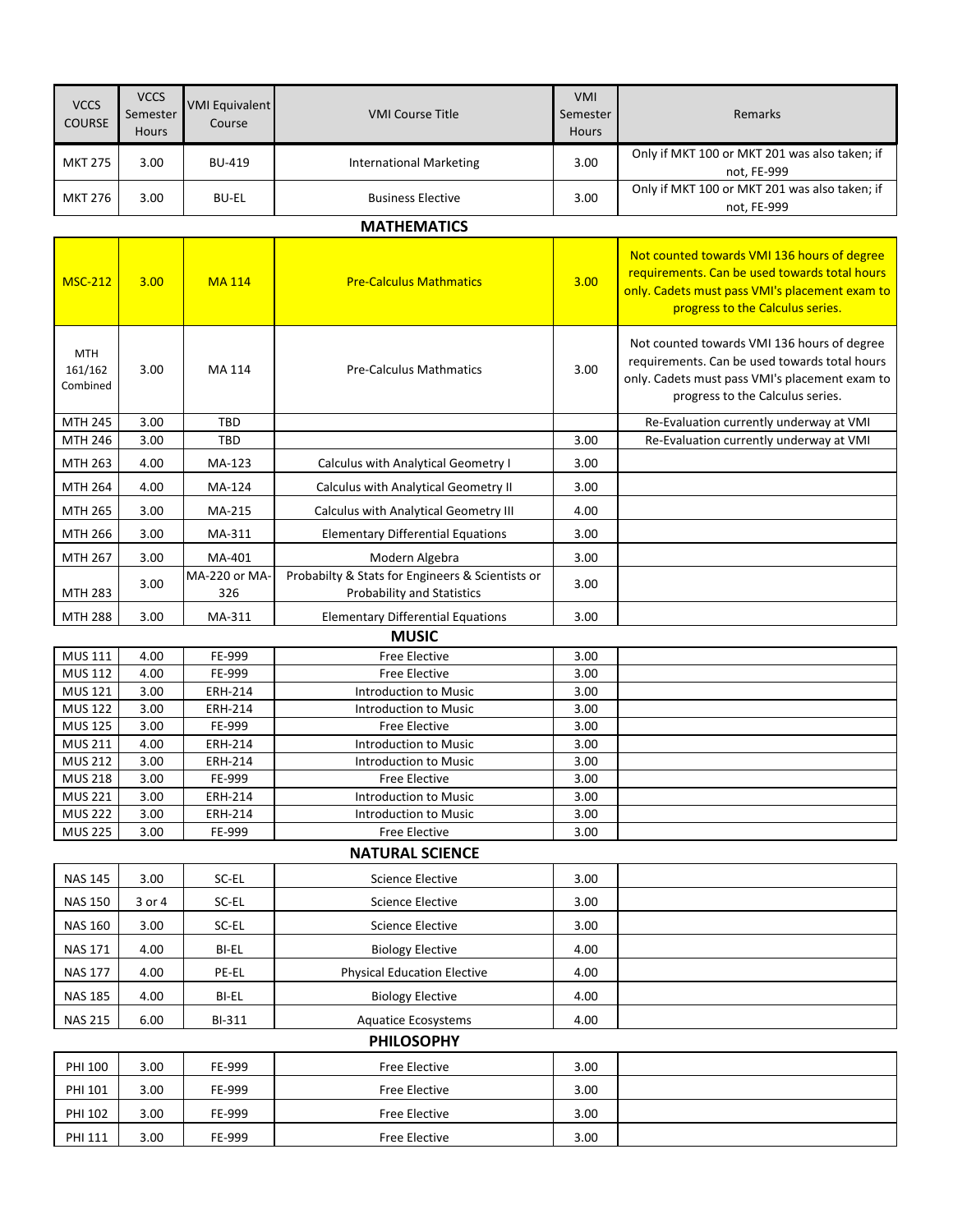| <b>VCCS</b><br><b>COURSE</b>      | <b>VCCS</b><br>Semester<br><b>Hours</b> | <b>VMI Equivalent</b><br>Course | <b>VMI Course Title</b>              | <b>VMI</b><br>Semester<br><b>Hours</b> | Remarks                                                                                                                                                                            |
|-----------------------------------|-----------------------------------------|---------------------------------|--------------------------------------|----------------------------------------|------------------------------------------------------------------------------------------------------------------------------------------------------------------------------------|
| <b>MKT 275</b>                    | 3.00                                    | <b>BU-419</b>                   | <b>International Marketing</b>       | 3.00                                   | Only if MKT 100 or MKT 201 was also taken; if<br>not, FE-999                                                                                                                       |
| <b>MKT 276</b>                    | 3.00                                    | <b>BU-EL</b>                    | <b>Business Elective</b>             | 3.00                                   | Only if MKT 100 or MKT 201 was also taken; if<br>not, FE-999                                                                                                                       |
|                                   |                                         |                                 | <b>MATHEMATICS</b>                   |                                        |                                                                                                                                                                                    |
| <b>MSC-212</b>                    | 3.00                                    | <b>MA114</b>                    | <b>Pre-Calculus Mathmatics</b>       | 3.00                                   | Not counted towards VMI 136 hours of degree<br>requirements. Can be used towards total hours<br>only. Cadets must pass VMI's placement exam to<br>progress to the Calculus series. |
| <b>MTH</b><br>161/162<br>Combined | 3.00                                    | MA 114                          | <b>Pre-Calculus Mathmatics</b>       | 3.00                                   | Not counted towards VMI 136 hours of degree<br>requirements. Can be used towards total hours<br>only. Cadets must pass VMI's placement exam to<br>progress to the Calculus series. |
| <b>MTH 245</b>                    | 3.00                                    | <b>TBD</b>                      |                                      |                                        | Re-Evaluation currently underway at VMI                                                                                                                                            |
| <b>MTH 246</b>                    | 3.00                                    | <b>TRD</b>                      |                                      | 3.00                                   | Re-Evaluation currently underway at VMI                                                                                                                                            |
| MTH 263                           | 4.00                                    | MA-123                          | Calculus with Analytical Geometry I  | 3.00                                   |                                                                                                                                                                                    |
| MTH 264                           | 4.00                                    | MA-124                          | Calculus with Analytical Geometry II | 3.00                                   |                                                                                                                                                                                    |

MTH 288 3.00 MA-311 Elementary Differential Equations 3.00 **MUSIC** MUS 111 4.00 FE-999 Free Elective 3.00 MUS 112 | 4.00 | FE-999 | Free Elective | 3.00 MUS 121 3.00 ERH-214 Introduction to Music 3.00 MUS 122 3.00 ERH-214 Introduction to Music 3.00 MUS 125 3.00 FE-999 Free Elective 3.00

ex stats for Engineers & Scientists of 3.00<br>Probability and Statistics

Probabilty & Stats for Engineers & Scientists or

MTH 265 3.00 MA-215 Calculus with Analytical Geometry III 4.00 MTH 266 3.00 MA-311 Elementary Differential Equations 3.00 MTH 267 3.00 MA-401 Modern Algebra 3.00

MTH 283

3.00

MA-220 or MA-326

MUS 211 | 4.00 | ERH-214 | Introduction to Music | 3.00 MUS 212 3.00 ERH-214 Introduction to Music 3.00 MUS 218 3.00 FE-999 Free Elective 3.00 MUS 221 3.00 ERH-214 Introduction to Music 3.00 MUS 222 3.00 ERH-214 Introduction to Music 3.00 MUS 225 3.00 FE-999 Free Elective 3.00

## **NATURAL SCIENCE**

| <b>NAS 145</b> | 3.00   | SC-EL  | Science Elective                   | 3.00 |  |
|----------------|--------|--------|------------------------------------|------|--|
| <b>NAS 150</b> | 3 or 4 | SC-EL  | Science Elective                   | 3.00 |  |
| <b>NAS 160</b> | 3.00   | SC-EL  | Science Elective                   | 3.00 |  |
| <b>NAS 171</b> | 4.00   | BI-EL  | <b>Biology Elective</b>            | 4.00 |  |
| <b>NAS 177</b> | 4.00   | PE-EL  | <b>Physical Education Elective</b> | 4.00 |  |
| <b>NAS 185</b> | 4.00   | BI-EL  | <b>Biology Elective</b>            | 4.00 |  |
| <b>NAS 215</b> | 6.00   | BI-311 | <b>Aquatice Ecosystems</b>         | 4.00 |  |

## **PHILOSOPHY**

| PHI 100 | 3.00 | FE-999 | Free Elective | 3.00 |  |
|---------|------|--------|---------------|------|--|
| PHI 101 | 3.00 | FE-999 | Free Elective | 3.00 |  |
| PHI 102 | 3.00 | FE-999 | Free Elective | 3.00 |  |
| PHI 111 | 3.00 | FE-999 | Free Elective | 3.00 |  |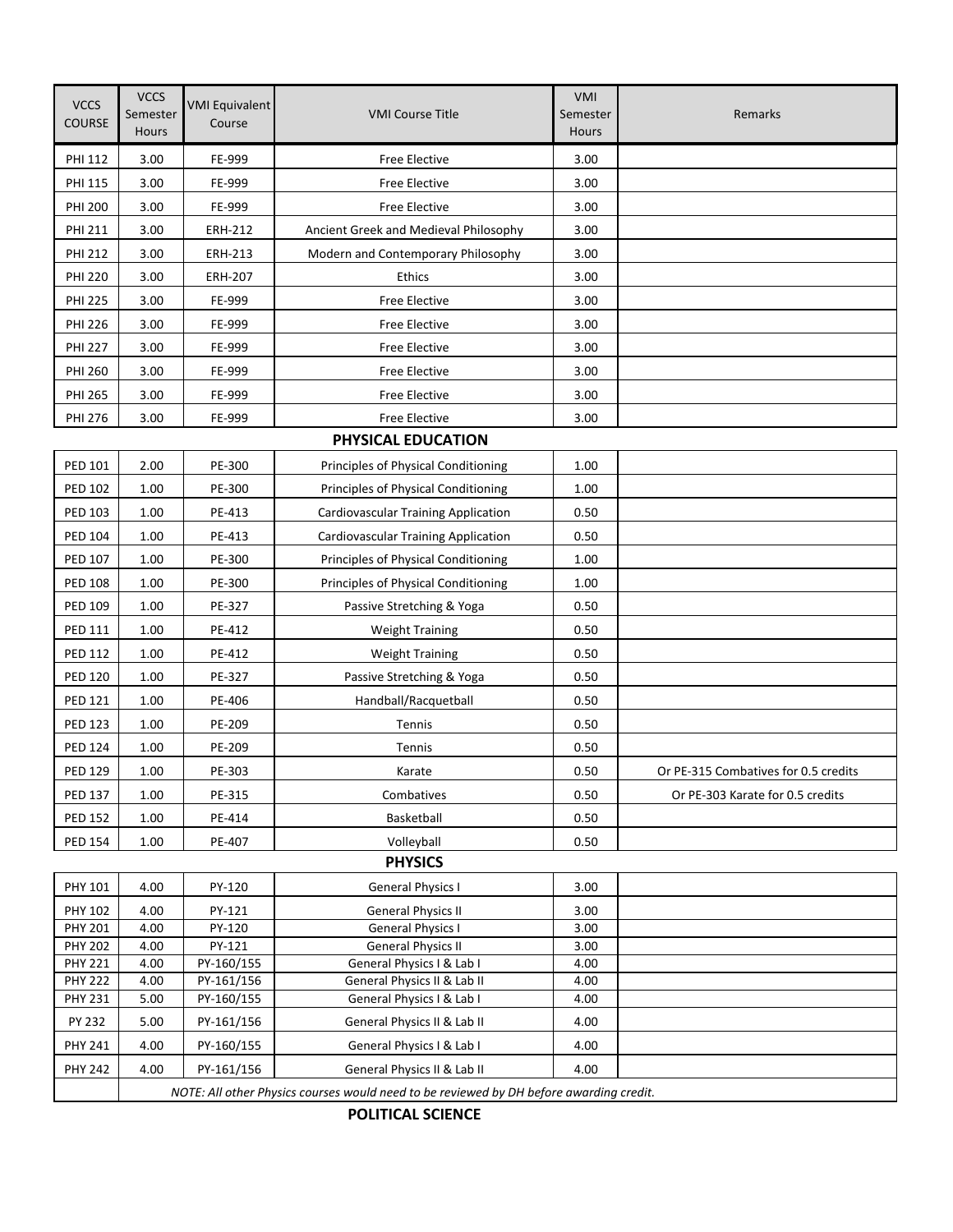| <b>VCCS</b><br><b>COURSE</b>     | <b>VCCS</b><br>Semester<br><b>Hours</b>                                                 | <b>VMI Equivalent</b><br>Course | <b>VMI Course Title</b>                                  | VMI<br>Semester<br><b>Hours</b> | Remarks                              |  |
|----------------------------------|-----------------------------------------------------------------------------------------|---------------------------------|----------------------------------------------------------|---------------------------------|--------------------------------------|--|
| PHI 112                          | 3.00                                                                                    | FE-999                          | Free Elective                                            | 3.00                            |                                      |  |
| PHI 115                          | 3.00                                                                                    | FE-999                          | Free Elective                                            | 3.00                            |                                      |  |
| <b>PHI 200</b>                   | 3.00                                                                                    | FE-999                          | Free Elective                                            | 3.00                            |                                      |  |
| <b>PHI 211</b>                   | 3.00                                                                                    | <b>ERH-212</b>                  | Ancient Greek and Medieval Philosophy                    | 3.00                            |                                      |  |
| <b>PHI 212</b>                   | 3.00                                                                                    | ERH-213                         | Modern and Contemporary Philosophy                       | 3.00                            |                                      |  |
| <b>PHI 220</b>                   | 3.00                                                                                    | ERH-207                         | Ethics                                                   | 3.00                            |                                      |  |
| <b>PHI 225</b>                   | 3.00                                                                                    | FE-999                          | Free Elective                                            | 3.00                            |                                      |  |
| <b>PHI 226</b>                   | 3.00                                                                                    | FE-999                          | Free Elective                                            | 3.00                            |                                      |  |
| <b>PHI 227</b>                   | 3.00                                                                                    | FE-999                          | Free Elective                                            | 3.00                            |                                      |  |
| PHI 260                          | 3.00                                                                                    | FE-999                          | <b>Free Elective</b>                                     | 3.00                            |                                      |  |
| <b>PHI 265</b>                   | 3.00                                                                                    | FE-999                          | Free Elective                                            | 3.00                            |                                      |  |
| PHI 276                          | 3.00                                                                                    | FE-999                          | Free Elective                                            | 3.00                            |                                      |  |
|                                  |                                                                                         |                                 | PHYSICAL EDUCATION                                       |                                 |                                      |  |
| PED 101                          | 2.00                                                                                    | PE-300                          | Principles of Physical Conditioning                      | 1.00                            |                                      |  |
| <b>PED 102</b>                   | 1.00                                                                                    | PE-300                          | Principles of Physical Conditioning                      | 1.00                            |                                      |  |
| PED 103                          | 1.00                                                                                    | PE-413                          |                                                          | 0.50                            |                                      |  |
|                                  |                                                                                         |                                 | Cardiovascular Training Application                      |                                 |                                      |  |
| PED 104                          | 1.00                                                                                    | PE-413                          | Cardiovascular Training Application                      | 0.50                            |                                      |  |
| PED 107                          | 1.00                                                                                    | PE-300                          | Principles of Physical Conditioning                      | 1.00                            |                                      |  |
| <b>PED 108</b>                   | 1.00                                                                                    | PE-300                          | Principles of Physical Conditioning                      | 1.00                            |                                      |  |
| PED 109                          | 1.00                                                                                    | PE-327                          | Passive Stretching & Yoga                                | 0.50                            |                                      |  |
| PED 111                          | 1.00                                                                                    | PE-412                          | <b>Weight Training</b>                                   | 0.50                            |                                      |  |
| <b>PED 112</b>                   | 1.00                                                                                    | PE-412                          | <b>Weight Training</b>                                   | 0.50                            |                                      |  |
| PED 120                          | 1.00                                                                                    | PE-327                          | Passive Stretching & Yoga                                | 0.50                            |                                      |  |
| <b>PED 121</b>                   | 1.00                                                                                    | PE-406                          | Handball/Racquetball                                     | 0.50                            |                                      |  |
| <b>PED 123</b>                   | 1.00                                                                                    | PE-209                          | Tennis                                                   | 0.50                            |                                      |  |
| <b>PED 124</b>                   | 1.00                                                                                    | PE-209                          | Tennis                                                   | 0.50                            |                                      |  |
| <b>PED 129</b>                   | 1.00                                                                                    | PE-303                          | Karate                                                   | 0.50                            | Or PE-315 Combatives for 0.5 credits |  |
| <b>PED 137</b>                   | 1.00                                                                                    | PE-315                          | Combatives                                               | 0.50                            | Or PE-303 Karate for 0.5 credits     |  |
| PED 152                          | 1.00                                                                                    | PE-414                          | Basketball                                               | 0.50                            |                                      |  |
| <b>PED 154</b>                   | 1.00                                                                                    | PE-407                          | Volleyball                                               | 0.50                            |                                      |  |
| <b>PHYSICS</b>                   |                                                                                         |                                 |                                                          |                                 |                                      |  |
| PHY 101                          | 4.00                                                                                    | PY-120                          | <b>General Physics I</b>                                 | 3.00                            |                                      |  |
| PHY 102                          | 4.00                                                                                    | PY-121                          | <b>General Physics II</b>                                | 3.00                            |                                      |  |
| PHY 201                          | 4.00                                                                                    | PY-120                          | <b>General Physics I</b>                                 | 3.00                            |                                      |  |
| <b>PHY 202</b>                   | 4.00                                                                                    | PY-121                          | <b>General Physics II</b>                                | 3.00                            |                                      |  |
| <b>PHY 221</b><br><b>PHY 222</b> | 4.00<br>4.00                                                                            | PY-160/155<br>PY-161/156        | General Physics I & Lab I<br>General Physics II & Lab II | 4.00<br>4.00                    |                                      |  |
| <b>PHY 231</b>                   | 5.00                                                                                    | PY-160/155                      | General Physics I & Lab I                                | 4.00                            |                                      |  |
| PY 232                           | 5.00                                                                                    | PY-161/156                      | General Physics II & Lab II                              | 4.00                            |                                      |  |
| <b>PHY 241</b>                   | 4.00                                                                                    | PY-160/155                      | General Physics I & Lab I                                | 4.00                            |                                      |  |
| <b>PHY 242</b>                   | 4.00                                                                                    | PY-161/156                      | General Physics II & Lab II                              | 4.00                            |                                      |  |
|                                  | NOTE: All other Physics courses would need to be reviewed by DH before awarding credit. |                                 |                                                          |                                 |                                      |  |

**POLITICAL SCIENCE**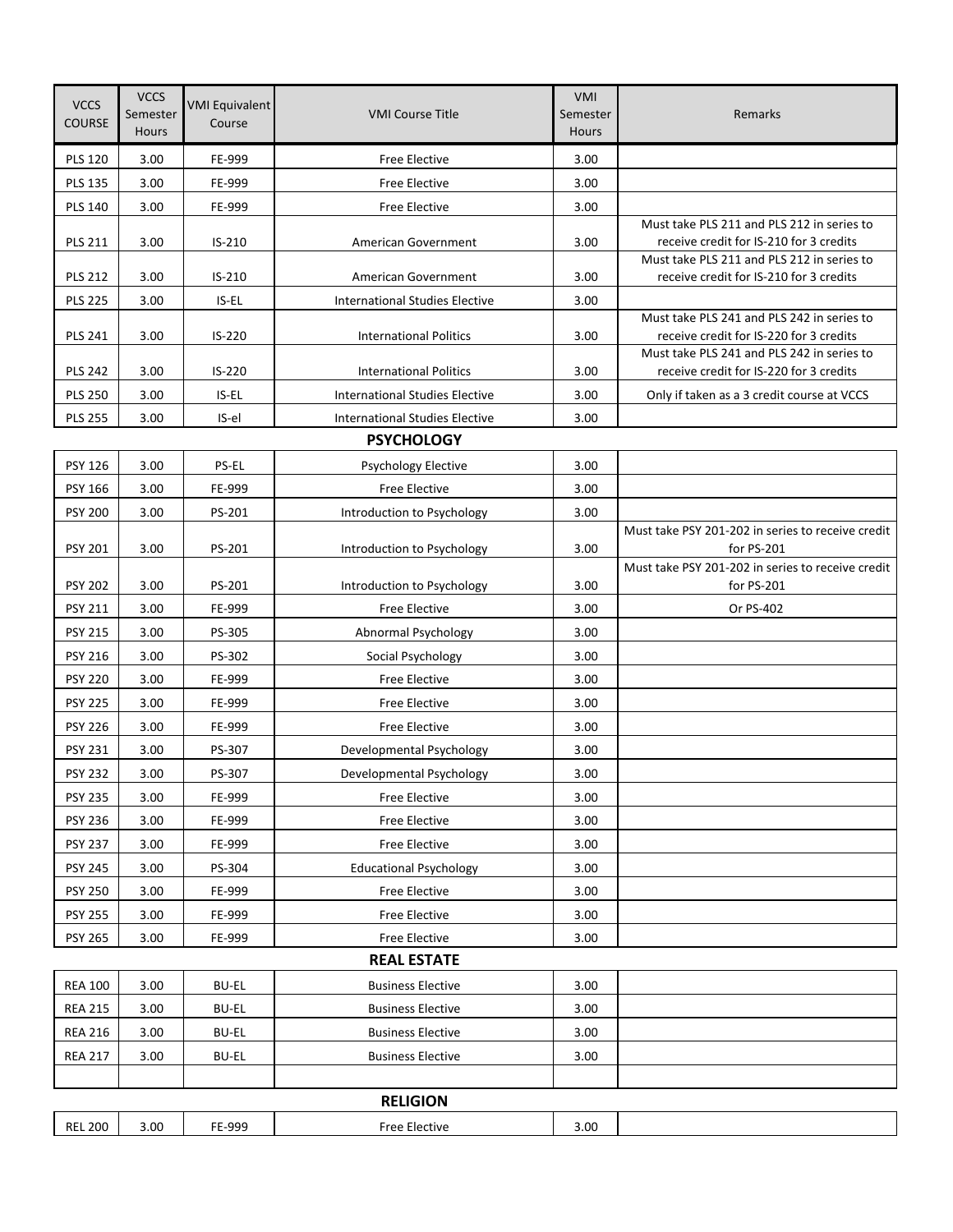| <b>VCCS</b><br><b>COURSE</b> | <b>VCCS</b><br>Semester<br><b>Hours</b> | <b>VMI Equivalent</b><br>Course | <b>VMI Course Title</b>               | <b>VMI</b><br>Semester<br><b>Hours</b> | Remarks                                                                               |  |
|------------------------------|-----------------------------------------|---------------------------------|---------------------------------------|----------------------------------------|---------------------------------------------------------------------------------------|--|
| <b>PLS 120</b>               | 3.00                                    | FE-999                          | <b>Free Elective</b>                  | 3.00                                   |                                                                                       |  |
| <b>PLS 135</b>               | 3.00                                    | FE-999                          | <b>Free Elective</b>                  | 3.00                                   |                                                                                       |  |
| <b>PLS 140</b>               | 3.00                                    | FE-999                          | Free Elective                         | 3.00                                   |                                                                                       |  |
| <b>PLS 211</b>               | 3.00                                    | $IS-210$                        | American Government                   | 3.00                                   | Must take PLS 211 and PLS 212 in series to<br>receive credit for IS-210 for 3 credits |  |
| <b>PLS 212</b>               | 3.00                                    | $IS-210$                        | American Government                   | 3.00                                   | Must take PLS 211 and PLS 212 in series to<br>receive credit for IS-210 for 3 credits |  |
| <b>PLS 225</b>               | 3.00                                    | IS-EL                           | <b>International Studies Elective</b> | 3.00                                   |                                                                                       |  |
| <b>PLS 241</b>               | 3.00                                    | $IS-220$                        | <b>International Politics</b>         | 3.00                                   | Must take PLS 241 and PLS 242 in series to<br>receive credit for IS-220 for 3 credits |  |
| <b>PLS 242</b>               | 3.00                                    | IS-220                          | <b>International Politics</b>         | 3.00                                   | Must take PLS 241 and PLS 242 in series to<br>receive credit for IS-220 for 3 credits |  |
| <b>PLS 250</b>               | 3.00                                    | IS-EL                           | <b>International Studies Elective</b> | 3.00                                   | Only if taken as a 3 credit course at VCCS                                            |  |
| <b>PLS 255</b>               | 3.00                                    | IS-el                           | <b>International Studies Elective</b> | 3.00                                   |                                                                                       |  |
|                              |                                         |                                 | <b>PSYCHOLOGY</b>                     |                                        |                                                                                       |  |
| PSY 126                      | 3.00                                    | PS-EL                           | Psychology Elective                   | 3.00                                   |                                                                                       |  |
| PSY 166                      | 3.00                                    | FE-999                          | <b>Free Elective</b>                  | 3.00                                   |                                                                                       |  |
| <b>PSY 200</b>               | 3.00                                    | PS-201                          | Introduction to Psychology            | 3.00                                   |                                                                                       |  |
| PSY 201                      | 3.00                                    | PS-201                          | Introduction to Psychology            | 3.00                                   | Must take PSY 201-202 in series to receive credit<br>for PS-201                       |  |
| <b>PSY 202</b>               | 3.00                                    | PS-201                          | Introduction to Psychology            | 3.00                                   | Must take PSY 201-202 in series to receive credit<br>for PS-201                       |  |
| PSY 211                      | 3.00                                    | FE-999                          | <b>Free Elective</b>                  | 3.00                                   | Or PS-402                                                                             |  |
| <b>PSY 215</b>               | 3.00                                    | PS-305                          | Abnormal Psychology                   | 3.00                                   |                                                                                       |  |
| <b>PSY 216</b>               | 3.00                                    | PS-302                          | Social Psychology                     | 3.00                                   |                                                                                       |  |
| <b>PSY 220</b>               | 3.00                                    | FE-999                          | <b>Free Elective</b>                  | 3.00                                   |                                                                                       |  |
| <b>PSY 225</b>               | 3.00                                    | FE-999                          | Free Elective                         | 3.00                                   |                                                                                       |  |
| <b>PSY 226</b>               | 3.00                                    | FE-999                          | <b>Free Elective</b>                  | 3.00                                   |                                                                                       |  |
| <b>PSY 231</b>               | 3.00                                    | PS-307                          | Developmental Psychology              | 3.00                                   |                                                                                       |  |
| <b>PSY 232</b>               | 3.00                                    | PS-307                          | Developmental Psychology              | 3.00                                   |                                                                                       |  |
| <b>PSY 235</b>               | 3.00                                    | FE-999                          | Free Elective                         | 3.00                                   |                                                                                       |  |
| <b>PSY 236</b>               | 3.00                                    | FE-999                          | Free Elective                         | 3.00                                   |                                                                                       |  |
| <b>PSY 237</b>               | 3.00                                    | FE-999                          | Free Elective                         | 3.00                                   |                                                                                       |  |
| <b>PSY 245</b>               | 3.00                                    | PS-304                          | <b>Educational Psychology</b>         | 3.00                                   |                                                                                       |  |
| <b>PSY 250</b>               | 3.00                                    | FE-999                          | Free Elective                         | 3.00                                   |                                                                                       |  |
| <b>PSY 255</b>               | 3.00                                    | FE-999                          | Free Elective                         | 3.00                                   |                                                                                       |  |
| <b>PSY 265</b>               | 3.00                                    | FE-999                          | <b>Free Elective</b>                  | 3.00                                   |                                                                                       |  |
| <b>REAL ESTATE</b>           |                                         |                                 |                                       |                                        |                                                                                       |  |
| <b>REA 100</b>               | 3.00                                    | <b>BU-EL</b>                    | <b>Business Elective</b>              | 3.00                                   |                                                                                       |  |
| <b>REA 215</b>               | 3.00                                    | <b>BU-EL</b>                    | <b>Business Elective</b>              | 3.00                                   |                                                                                       |  |
| <b>REA 216</b>               | 3.00                                    | <b>BU-EL</b>                    | <b>Business Elective</b>              | 3.00                                   |                                                                                       |  |
| <b>REA 217</b>               | 3.00                                    | <b>BU-EL</b>                    | <b>Business Elective</b>              | 3.00                                   |                                                                                       |  |
|                              |                                         |                                 |                                       |                                        |                                                                                       |  |
| <b>RELIGION</b>              |                                         |                                 |                                       |                                        |                                                                                       |  |
| <b>REL 200</b>               | 3.00                                    | FE-999                          | Free Elective                         | 3.00                                   |                                                                                       |  |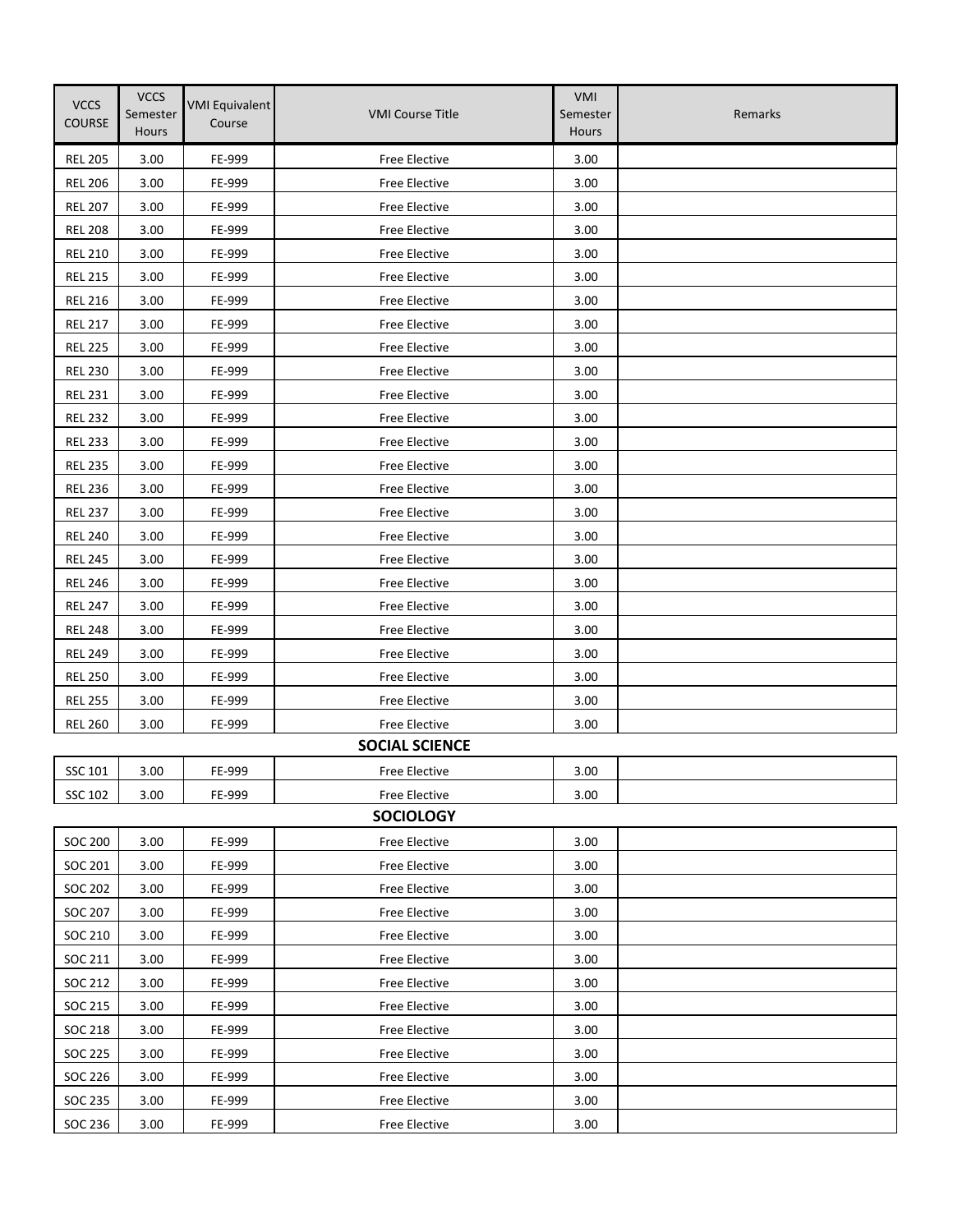| <b>VCCS</b><br><b>COURSE</b> | <b>VCCS</b><br>Semester<br><b>Hours</b> | <b>VMI Equivalent</b><br>Course | <b>VMI Course Title</b> | VMI<br>Semester<br>Hours | Remarks |
|------------------------------|-----------------------------------------|---------------------------------|-------------------------|--------------------------|---------|
| <b>REL 205</b>               | 3.00                                    | FE-999                          | <b>Free Elective</b>    | 3.00                     |         |
| <b>REL 206</b>               | 3.00                                    | FE-999                          | <b>Free Elective</b>    | 3.00                     |         |
| <b>REL 207</b>               | 3.00                                    | FE-999                          | Free Elective           | 3.00                     |         |
| <b>REL 208</b>               | 3.00                                    | FE-999                          | Free Elective           | 3.00                     |         |
| <b>REL 210</b>               | 3.00                                    | FE-999                          | Free Elective           | 3.00                     |         |
| <b>REL 215</b>               | 3.00                                    | FE-999                          | <b>Free Elective</b>    | 3.00                     |         |
| <b>REL 216</b>               | 3.00                                    | FE-999                          | <b>Free Elective</b>    | 3.00                     |         |
| <b>REL 217</b>               | 3.00                                    | FE-999                          | <b>Free Elective</b>    | 3.00                     |         |
| <b>REL 225</b>               | 3.00                                    | FE-999                          | Free Elective           | 3.00                     |         |
| <b>REL 230</b>               | 3.00                                    | FE-999                          | <b>Free Elective</b>    | 3.00                     |         |
| <b>REL 231</b>               | 3.00                                    | FE-999                          | <b>Free Elective</b>    | 3.00                     |         |
| <b>REL 232</b>               | 3.00                                    | FE-999                          | <b>Free Elective</b>    | 3.00                     |         |
| <b>REL 233</b>               | 3.00                                    | FE-999                          | <b>Free Elective</b>    | 3.00                     |         |
| <b>REL 235</b>               | 3.00                                    | FE-999                          | <b>Free Elective</b>    | 3.00                     |         |
| <b>REL 236</b>               | 3.00                                    | FE-999                          | <b>Free Elective</b>    | 3.00                     |         |
| <b>REL 237</b>               | 3.00                                    | FE-999                          | Free Elective           | 3.00                     |         |
| <b>REL 240</b>               | 3.00                                    | FE-999                          | Free Elective           | 3.00                     |         |
| <b>REL 245</b>               | 3.00                                    | FE-999                          | Free Elective           | 3.00                     |         |
| <b>REL 246</b>               | 3.00                                    | FE-999                          | Free Elective           | 3.00                     |         |
| <b>REL 247</b>               | 3.00                                    | FE-999                          | <b>Free Elective</b>    | 3.00                     |         |
| <b>REL 248</b>               | 3.00                                    | FE-999                          | Free Elective           | 3.00                     |         |
| <b>REL 249</b>               | 3.00                                    | FE-999                          | Free Elective           | 3.00                     |         |
| <b>REL 250</b>               | 3.00                                    | FE-999                          | Free Elective           | 3.00                     |         |
| <b>REL 255</b>               | 3.00                                    | FE-999                          | Free Elective           | 3.00                     |         |
| <b>REL 260</b>               | 3.00                                    | FE-999                          | Free Elective           | 3.00                     |         |
|                              |                                         |                                 | <b>SOCIAL SCIENCE</b>   |                          |         |
| SSC 101                      | 3.00                                    | FE-999                          | Free Elective           | 3.00                     |         |
| SSC 102                      | 3.00                                    | FE-999                          | Free Elective           | 3.00                     |         |
|                              |                                         |                                 | <b>SOCIOLOGY</b>        |                          |         |
| <b>SOC 200</b>               | 3.00                                    | FE-999                          | Free Elective           | 3.00                     |         |
| SOC 201                      | 3.00                                    | FE-999                          | Free Elective           | 3.00                     |         |
| SOC 202                      | 3.00                                    | FE-999                          | Free Elective           | 3.00                     |         |
| <b>SOC 207</b>               | 3.00                                    | FE-999                          | <b>Free Elective</b>    | 3.00                     |         |
| SOC 210                      | 3.00                                    | FE-999                          | Free Elective           | 3.00                     |         |
| SOC 211                      | 3.00                                    | FE-999                          | Free Elective           | 3.00                     |         |
| SOC 212                      | 3.00                                    | FE-999                          | Free Elective           | 3.00                     |         |
| SOC 215                      | 3.00                                    | FE-999                          | Free Elective           | 3.00                     |         |
| SOC 218                      | 3.00                                    | FE-999                          | Free Elective           | 3.00                     |         |
| SOC 225                      | 3.00                                    | FE-999                          | Free Elective           | 3.00                     |         |
| SOC 226                      | 3.00                                    | FE-999                          | Free Elective           | 3.00                     |         |
| SOC 235                      | 3.00                                    | FE-999                          | Free Elective           | 3.00                     |         |
| SOC 236                      | 3.00                                    | FE-999                          | Free Elective           | 3.00                     |         |